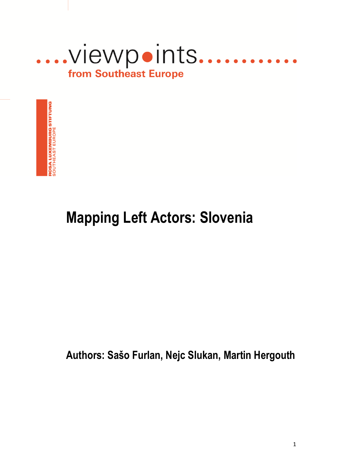



# **Mapping Left Actors: Slovenia**

**Authors: Sašo Furlan, Nejc Slukan, Martin Hergouth**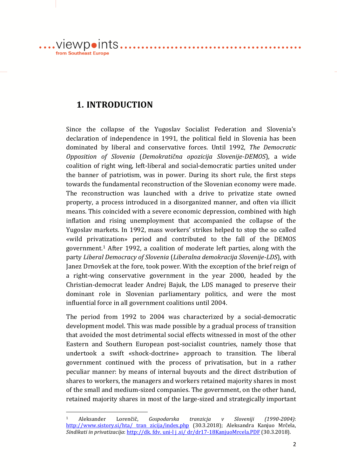.viewpoints... from Southeast Europe

1

# **1. INTRODUCTION**

Since the collapse of the Yugoslav Socialist Federation and Slovenia's declaration of independence in 1991, the political field in Slovenia has been dominated by liberal and conservative forces. Until 1992, *The Democratic Opposition of Slovenia* (*Demokratična opozicija Slovenije-DEMOS*), a wide coalition of right wing, left-liberal and social-democratic parties united under the banner of patriotism, was in power. During its short rule, the first steps towards the fundamental reconstruction of the Slovenian economy were made. The reconstruction was launched with a drive to privatize state owned property, a process introduced in a disorganized manner, and often via illicit means. This coincided with a severe economic depression, combined with high inflation and rising unemployment that accompanied the collapse of the Yugoslav markets. In 1992, mass workers' strikes helped to stop the so called «wild privatization» period and contributed to the fall of the DEMOS government.<sup>1</sup> After 1992, a coalition of moderate left parties, along with the party *Liberal Democracy of Slovenia* (*Liberalna demokracija Slovenije-LDS*), with Janez Drnovšek at the fore, took power. With the exception of the brief reign of a right-wing conservative government in the year 2000, headed by the Christian-democrat leader Andrej Bajuk, the LDS managed to preserve their dominant role in Slovenian parliamentary politics, and were the most influential force in all government coalitions until 2004.

. . . . . . . . . . . . . . . . .

. . . . . . . . . . . .

The period from 1992 to 2004 was characterized by a social-democratic development model. This was made possible by a gradual process of transition that avoided the most detrimental social effects witnessed in most of the other Eastern and Southern European post-socialist countries, namely those that undertook a swift «shock-doctrine» approach to transition. The liberal government continued with the process of privatisation, but in a rather peculiar manner: by means of internal buyouts and the direct distribution of shares to workers, the managers and workers retained majority shares in most of the small and medium-sized companies. The government, on the other hand, retained majority shares in most of the large-sized and strategically important

<sup>1</sup> Aleksander Lorenčič, *Gospodarska tranzicja v Sloveniji (1990-2004)*: [http://www.sistory.si/hta/ tran zicija/index.php](http://www.sistory.si/hta/%20tran%20zicija/index.php) (30.3.2018); Aleksandra Kanjuo Mrčela, *Sindikati in privatizacija*: http://dk. fdv. uni-l j .si/ dr/dr17-18KanjuoMrcela.PDF (30.3.2018).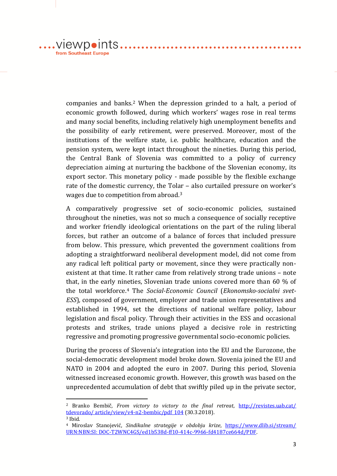.viewpoints.. from Southeast Europe

1

companies and banks.<sup>2</sup> When the depression grinded to a halt, a period of economic growth followed, during which workers' wages rose in real terms and many social benefits, including relatively high unemployment benefits and the possibility of early retirement, were preserved. Moreover, most of the institutions of the welfare state, i.e. public healthcare, education and the pension system, were kept intact throughout the nineties. During this period, the Central Bank of Slovenia was committed to a policy of currency depreciation aiming at nurturing the backbone of the Slovenian economy, its export sector. This monetary policy - made possible by the flexible exchange rate of the domestic currency, the Tolar – also curtailed pressure on worker's wages due to competition from abroad.<sup>3</sup>

. . . . . . . . . . . . . . . . . . .

. . . . . . . . . . . . . .

A comparatively progressive set of socio-economic policies, sustained throughout the nineties, was not so much a consequence of socially receptive and worker friendly ideological orientations on the part of the ruling liberal forces, but rather an outcome of a balance of forces that included pressure from below. This pressure, which prevented the government coalitions from adopting a straightforward neoliberal development model, did not come from any radical left political party or movement, since they were practically nonexistent at that time. It rather came from relatively strong trade unions – note that, in the early nineties, Slovenian trade unions covered more than 60 % of the total workforce.<sup>4</sup> The *Social-Economic Council* (*Ekonomsko-socialni svet-ESS*)*,* composed of government, employer and trade union representatives and established in 1994, set the directions of national welfare policy, labour legislation and fiscal policy. Through their activities in the ESS and occasional protests and strikes, trade unions played a decisive role in restricting regressive and promoting progressive governmental socio-economic policies.

During the process of Slovenia's integration into the EU and the Eurozone, the social-democratic development model broke down. Slovenia joined the EU and NATO in 2004 and adopted the euro in 2007. During this period, Slovenia witnessed increased economic growth. However, this growth was based on the unprecedented accumulation of debt that swiftly piled up in the private sector,

<sup>2</sup> Branko Bembič*, From victory to victory to the final retreat*, [http://revistes.uab.cat/](http://revistes.uab.cat/%20tdevorado/%20article/view/v4-n2-bembic/pdf_104)  [tdevorado/ article/view/v4-n2-bembic/pdf\\_104](http://revistes.uab.cat/%20tdevorado/%20article/view/v4-n2-bembic/pdf_104) (30.3.2018). <sup>3</sup> Ibid.

<sup>4</sup> Miroslav Stanojević, *Sindikalne strategije v obdobju krize*, [https://www.dlib.si/stream/](https://www.dlib.si/stream/%20URN:NBN:SI:%20DOC-T2WNC4GS/ed1b538d-ff10-414c-9966-fd4187ce664d/PDF)  [URN:NBN:SI: DOC-T2WNC4GS/ed1b538d-ff10-414c-9966-fd4187ce664d/PDF.](https://www.dlib.si/stream/%20URN:NBN:SI:%20DOC-T2WNC4GS/ed1b538d-ff10-414c-9966-fd4187ce664d/PDF)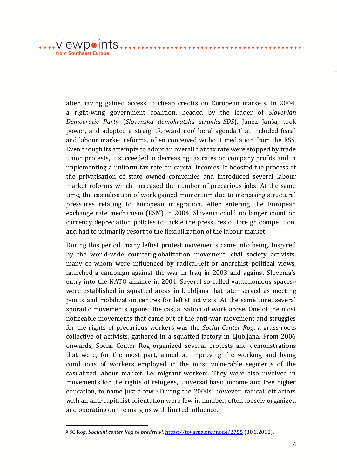....VIewpoints....... from Southeast Europe

<u>.</u>

after having gained access to cheap credits on European markets. In 2004, a right-wing government coalition, headed by the leader of *Slovenian Democratic Party* (*Slovenska demokratska stranka-SDS*), Janez Janša, took power, and adopted a straightforward neoliberal agenda that included fiscal and labour market reforms, often conceived without mediation from the ESS. Even though its attempts to adopt an overall flat tax rate were stopped by trade union protests, it succeeded in decreasing tax rates on company profits and in implementing a uniform tax rate on capital incomes. It boosted the process of the privatisation of state owned companies and introduced several labour market reforms which increased the number of precarious jobs. At the same time, the casualisation of work gained momentum due to increasing structural pressures relating to European integration. After entering the European exchange rate mechanism (ESM) in 2004, Slovenia could no longer count on currency depreciation policies to tackle the pressures of foreign competition, and had to primarily resort to the flexibilization of the labour market.

. . . . . . . . . . . . . . . . . . .

During this period, many leftist protest movements came into being. Inspired by the world-wide counter-globalization movement, civil society activists, many of whom were influenced by radical-left or anarchist political views, launched a campaign against the war in Iraq in 2003 and against Slovenia's entry into the NATO alliance in 2004. Several so-called «autonomous spaces» were established in squatted areas in Ljubljana that later served as meeting points and mobilization centres for leftist activists. At the same time, several sporadic movements against the casualization of work arose. One of the most noticeable movements that came out of the anti-war movement and struggles for the rights of precarious workers was the *Social Center Rog*, a grass-roots collective of activists, gathered in a squatted factory in Ljubljana. From 2006 onwards, Social Center Rog organized several protests and demonstrations that were, for the most part, aimed at improving the working and living conditions of workers employed in the most vulnerable segments of the casualized labour market, i.e. migrant workers. They were also involved in movements for the rights of refugees, universal basic income and free higher education, to name just a few.<sup>5</sup> During the 2000s, however, radical left actors with an anti-capitalist orientation were few in number, often loosely organized and operating on the margins with limited influence.

<sup>5</sup> SC Rog, *Socialni center Rog se predstavi*,<https://tovarna.org/node/2755> (30.3.2018).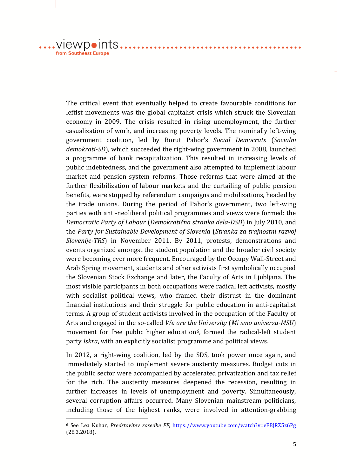$\dots$ .viewpoints... from Southeast Europe

1

The critical event that eventually helped to create favourable conditions for leftist movements was the global capitalist crisis which struck the Slovenian economy in 2009. The crisis resulted in rising unemployment, the further casualization of work, and increasing poverty levels. The nominally left-wing government coalition, led by Borut Pahor's *Social Democrats* (*Socialni demokrati-SD*), which succeeded the right-wing government in 2008, launched a programme of bank recapitalization. This resulted in increasing levels of public indebtedness, and the government also attempted to implement labour market and pension system reforms. Those reforms that were aimed at the further flexibilization of labour markets and the curtailing of public pension benefits, were stopped by referendum campaigns and mobilizations, headed by the trade unions. During the period of Pahor's government, two left-wing parties with anti-neoliberal political programmes and views were formed: the *Democratic Party of Labour* (*Demokratična stranka dela-DSD*) in July 2010, and the *Party for Sustainable Development of Slovenia* (*Stranka za trajnostni razvoj Slovenije-TRS*) in November 2011. By 2011, protests, demonstrations and events organized amongst the student population and the broader civil society were becoming ever more frequent. Encouraged by the Occupy Wall-Street and Arab Spring movement, students and other activists first symbolically occupied the Slovenian Stock Exchange and later, the Faculty of Arts in Ljubljana. The most visible participants in both occupations were radical left activists, mostly with socialist political views, who framed their distrust in the dominant financial institutions and their struggle for public education in anti-capitalist terms. A group of student activists involved in the occupation of the Faculty of Arts and engaged in the so-called *We are the University* (*Mi smo univerza-MSU*) movement for free public higher education<sup>6</sup>, formed the radical-left student party *Iskra*, with an explicitly socialist programme and political views.

. . . . . . . . . . . . . . . . . .

In 2012, a right-wing coalition, led by the SDS, took power once again, and immediately started to implement severe austerity measures. Budget cuts in the public sector were accompanied by accelerated privatization and tax relief for the rich. The austerity measures deepened the recession, resulting in further increases in levels of unemployment and poverty. Simultaneously, several corruption affairs occurred. Many Slovenian mainstream politicians, including those of the highest ranks, were involved in attention-grabbing

<sup>6</sup> See Lea Kuhar, *Predstavitev zasedbe FF*,<https://www.youtube.com/watch?v=eFBJRZ5z6Pg> (28.3.2018).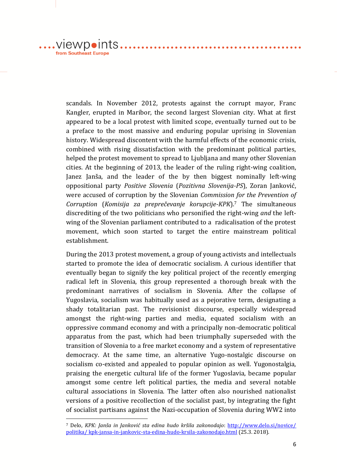.viewpoints...... from Southeast Europe

1

scandals. In November 2012, protests against the corrupt mayor, Franc Kangler, erupted in Maribor, the second largest Slovenian city. What at first appeared to be a local protest with limited scope, eventually turned out to be a preface to the most massive and enduring popular uprising in Slovenian history. Widespread discontent with the harmful effects of the economic crisis, combined with rising dissatisfaction with the predominant political parties, helped the protest movement to spread to Ljubljana and many other Slovenian cities. At the beginning of 2013, the leader of the ruling right-wing coalition, Janez Janša, and the leader of the by then biggest nominally left-wing oppositional party *Positive Slovenia* (*Pozitivna Slovenija-PS*), Zoran Janković, were accused of corruption by the Slovenian *Commission for the Prevention of Corruption* (*Komisija za preprečevanje korupcije-KPK*).<sup>7</sup> The simultaneous discrediting of the two politicians who personified the right-wing *and* the leftwing of the Slovenian parliament contributed to a radicalisation of the protest movement, which soon started to target the entire mainstream political establishment.

. . . . . . . . . . . . . . . . . .

. . . . . . . . . . . . . .

During the 2013 protest movement, a group of young activists and intellectuals started to promote the idea of democratic socialism. A curious identifier that eventually began to signify the key political project of the recently emerging radical left in Slovenia, this group represented a thorough break with the predominant narratives of socialism in Slovenia. After the collapse of Yugoslavia, socialism was habitually used as a pejorative term, designating a shady totalitarian past. The revisionist discourse, especially widespread amongst the right-wing parties and media, equated socialism with an oppressive command economy and with a principally non-democratic political apparatus from the past, which had been triumphally superseded with the transition of Slovenia to a free market economy and a system of representative democracy. At the same time, an alternative Yugo-nostalgic discourse on socialism co-existed and appealed to popular opinion as well. Yugonostalgia, praising the energetic cultural life of the former Yugoslavia, became popular amongst some centre left political parties, the media and several notable cultural associations in Slovenia. The latter often also nourished nationalist versions of a positive recollection of the socialist past, by integrating the fight of socialist partisans against the Nazi-occupation of Slovenia during WW2 into

<sup>7</sup> Delo, *KPK: Janša in Janković sta edina hudo kršila zakonodajo*: [http://www.delo.si/novice/](http://www.delo.si/novice/%20politika/%20kpk-jansa-in-jankovic-sta-edina-hudo-krsila-zakonodajo.html)  [politika/ kpk-jansa-in-jankovic-sta-edina-hudo-krsila-zakonodajo.html](http://www.delo.si/novice/%20politika/%20kpk-jansa-in-jankovic-sta-edina-hudo-krsila-zakonodajo.html) (25.3. 2018).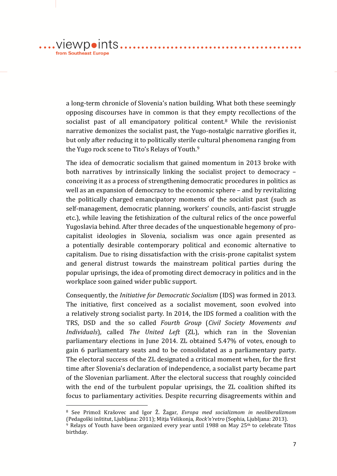a long-term chronicle of Slovenia's nation building. What both these seemingly opposing discourses have in common is that they empty recollections of the socialist past of all emancipatory political content.<sup>8</sup> While the revisionist narrative demonizes the socialist past, the Yugo-nostalgic narrative glorifies it, but only after reducing it to politically sterile cultural phenomena ranging from the Yugo rock scene to Tito's Relays of Youth.<sup>9</sup>

. . . . . . . . . . . . . . . . . .

. . . . . . . . . . . . . .

The idea of democratic socialism that gained momentum in 2013 broke with both narratives by intrinsically linking the socialist project to democracy – conceiving it as a process of strengthening democratic procedures in politics as well as an expansion of democracy to the economic sphere – and by revitalizing the politically charged emancipatory moments of the socialist past (such as self-management, democratic planning, workers' councils, anti-fascist struggle etc.), while leaving the fetishization of the cultural relics of the once powerful Yugoslavia behind. After three decades of the unquestionable hegemony of procapitalist ideologies in Slovenia, socialism was once again presented as a potentially desirable contemporary political and economic alternative to capitalism. Due to rising dissatisfaction with the crisis-prone capitalist system and general distrust towards the mainstream political parties during the popular uprisings, the idea of promoting direct democracy in politics and in the workplace soon gained wider public support.

Consequently, the *Initiative for Democratic Socialism* (IDS) was formed in 2013. The initiative, first conceived as a socialist movement, soon evolved into a relatively strong socialist party. In 2014, the IDS formed a coalition with the TRS, DSD and the so called *Fourth Group* (*Civil Society Movements and Individuals*), called *The United Left* (ZL), which ran in the Slovenian parliamentary elections in June 2014. ZL obtained 5.47% of votes, enough to gain 6 parliamentary seats and to be consolidated as a parliamentary party. The electoral success of the ZL designated a critical moment when, for the first time after Slovenia's declaration of independence, a socialist party became part of the Slovenian parliament. After the electoral success that roughly coincided with the end of the turbulent popular uprisings, the ZL coalition shifted its focus to parliamentary activities. Despite recurring disagreements within and

<u>.</u>

 $.VI$ ewpoints..

from Southeast Europe

<sup>8</sup> See Primož Krašovec and Igor Ž. Žagar, *Evropa med socializmom in neoliberalizmom* (Pedagoški inštitut, Ljubljana: 2011); Mitja Velikonja, *Rock'n'retro* (Sophia, Ljubljana: 2013).  $9$  Relays of Youth have been organized every year until 1988 on May 25<sup>th</sup> to celebrate Titos

birthday.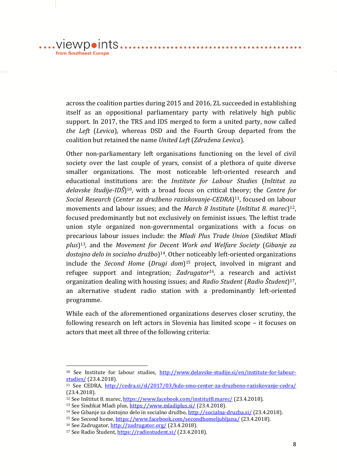across the coalition parties during 2015 and 2016, ZL succeeded in establishing itself as an oppositional parliamentary party with relatively high public support. In 2017, the TRS and IDS merged to form a united party, now called *the Left* (*Levica*), whereas DSD and the Fourth Group departed from the coalition but retained the name *United Left* (*Združena Levica*).

Other non-parliamentary left organisations functioning on the level of civil society over the last couple of years, consist of a plethora of quite diverse smaller organizations. The most noticeable left-oriented research and educational institutions are: the *Institute for Labour Studies* (*Inštitut za delavske študije-IDŠ*) <sup>10</sup>, with a broad focus on critical theory; the *Centre for Social Research* (*Center za družbeno raziskovanje-CEDRA*) <sup>11</sup>, focused on labour movements and labour issues; and the *March 8 Institute* (*Inštitut 8. marec*) <sup>12</sup>, focused predominantly but not exclusively on feminist issues. The leftist trade union style organized non-governmental organizations with a focus on precarious labour issues include: the *Mladi Plus Trade Union* (*Sindikat Mladi plus*) <sup>13</sup>*,* and the *Movement for Decent Work and Welfare Society* (*Gibanje za dostojno delo in socialno družbo*) <sup>14</sup>. Other noticeably left-oriented organizations include the *Second Home* (*Drugi dom*) <sup>15</sup> project, involved in migrant and refugee support and integration; *Zadrugator16*, a research and activist organization dealing with housing issues; and *Radio Student* (*Radio Študent*) <sup>17</sup>, an alternative student radio station with a predominantly left-oriented programme.

While each of the aforementioned organizations deserves closer scrutiny, the following research on left actors in Slovenia has limited scope – it focuses on actors that meet all three of the following criteria:

1

 $\dots$ . VIEWDOINTS $\dots$ 

from Southeast Europe

<sup>&</sup>lt;sup>10</sup> See Institute for labour studies, http://www.delayske-studije.si/en/institute-for-labour[studies/](http://www.delavske-studije.si/en/institute-for-labour-studies/) (23.4.2018).

<sup>11</sup> See CEDRA, <http://cedra.si/sl/2017/03/kdo-smo-center-za-druzbeno-raziskovanje-cedra/> (23.4.2018).

<sup>&</sup>lt;sup>12</sup> See Inštitut 8. marec, <https://www.facebook.com/institut8.marec/> (23.4.2018).

<sup>13</sup> See Sindikat Mladi plus,<https://www.mladiplus.si/> (23.4.2018).

<sup>&</sup>lt;sup>14</sup> See Gibanje za dostojno delo in socialno družbo, <http://socialna-druzba.si/> (23.4.2018).

<sup>&</sup>lt;sup>15</sup> See Second home[, https://www.facebook.com/secondhomeljubljana/](https://www.facebook.com/secondhomeljubljana/) (23.4.2018).

<sup>16</sup> See Zadrugator[, http://zadrugator.org/](http://zadrugator.org/) (23.4.2018).

<sup>&</sup>lt;sup>17</sup> See Radio Študent, <https://radiostudent.si/> (23.4.2018).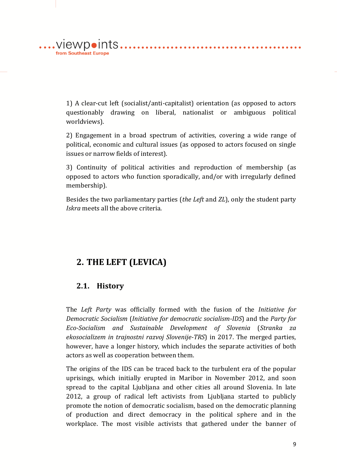from Southeast Europe

> 1) A clear-cut left (socialist/anti-capitalist) orientation (as opposed to actors questionably drawing on liberal, nationalist or ambiguous political worldviews).

> 2) Engagement in a broad spectrum of activities, covering a wide range of political, economic and cultural issues (as opposed to actors focused on single issues or narrow fields of interest).

> 3) Continuity of political activities and reproduction of membership (as opposed to actors who function sporadically, and/or with irregularly defined membership).

> Besides the two parliamentary parties (*the Left* and *ZL*), only the student party *Iskra* meets all the above criteria.

# **2. THE LEFT (LEVICA)**

#### **2.1. History**

The *Left Party* was officially formed with the fusion of the *Initiative for Democratic Socialism* (*Initiative for democratic socialism-IDS*) and the *Party for Eco-Socialism and Sustainable Development of Slovenia* (*Stranka za ekosocializem in trajnostni razvoj Slovenije-TRS*) in 2017. The merged parties, however, have a longer history, which includes the separate activities of both actors as well as cooperation between them.

The origins of the IDS can be traced back to the turbulent era of the popular uprisings, which initially erupted in Maribor in November 2012, and soon spread to the capital Ljubljana and other cities all around Slovenia. In late 2012, a group of radical left activists from Ljubljana started to publicly promote the notion of democratic socialism, based on the democratic planning of production and direct democracy in the political sphere and in the workplace. The most visible activists that gathered under the banner of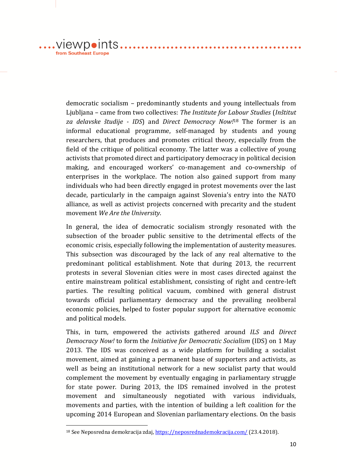....VIewpoints....... from Southeast Europe

<u>.</u>

democratic socialism – predominantly students and young intellectuals from Ljubljana – came from two collectives: *The Institute for Labour Studies* (*Inštitut za delavske študije - IDS*) and *Direct Democracy Now!*<sup>18</sup> The former is an informal educational programme, self-managed by students and young researchers, that produces and promotes critical theory, especially from the field of the critique of political economy. The latter was a collective of young activists that promoted direct and participatory democracy in political decision making, and encouraged workers' co-management and co-ownership of enterprises in the workplace. The notion also gained support from many individuals who had been directly engaged in protest movements over the last decade, particularly in the campaign against Slovenia's entry into the NATO alliance, as well as activist projects concerned with precarity and the student movement *We Are the University*.

In general, the idea of democratic socialism strongly resonated with the subsection of the broader public sensitive to the detrimental effects of the economic crisis, especially following the implementation of austerity measures. This subsection was discouraged by the lack of any real alternative to the predominant political establishment. Note that during 2013, the recurrent protests in several Slovenian cities were in most cases directed against the entire mainstream political establishment, consisting of right and centre-left parties. The resulting political vacuum, combined with general distrust towards official parliamentary democracy and the prevailing neoliberal economic policies, helped to foster popular support for alternative economic and political models.

This, in turn, empowered the activists gathered around *ILS* and *Direct Democracy Now!* to form the *Initiative for Democratic Socialism* (IDS) on 1 May 2013. The IDS was conceived as a wide platform for building a socialist movement, aimed at gaining a permanent base of supporters and activists, as well as being an institutional network for a new socialist party that would complement the movement by eventually engaging in parliamentary struggle for state power. During 2013, the IDS remained involved in the protest movement and simultaneously negotiated with various individuals, movements and parties, with the intention of building a left coalition for the upcoming 2014 European and Slovenian parliamentary elections. On the basis

<sup>&</sup>lt;sup>18</sup> See Neposredna demokracija zdaj[, https://neposrednademokracija.com/](https://neposrednademokracija.com/) (23.4.2018).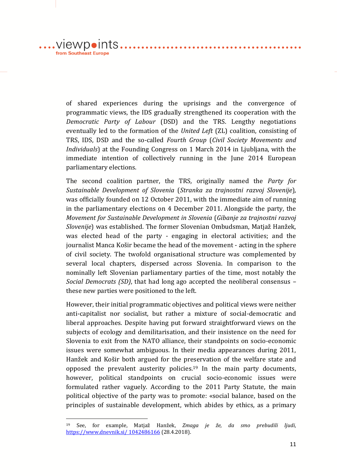$.VI$ ewpoints... from Southeast Europe

1

of shared experiences during the uprisings and the convergence of programmatic views, the IDS gradually strengthened its cooperation with the *Democratic Party of Labour* (DSD) and the TRS. Lengthy negotiations eventually led to the formation of the *United Left* (ZL) coalition, consisting of TRS, IDS, DSD and the so-called *Fourth Group* (*Civil Society Movements and Individuals*) at the Founding Congress on 1 March 2014 in Ljubljana, with the immediate intention of collectively running in the June 2014 European parliamentary elections.

. . . . . . . . . . . . . . . . . .

. . . . . . . . . . . .

The second coalition partner, the TRS*,* originally named the *Party for Sustainable Development of Slovenia* (*Stranka za trajnostni razvoj Slovenije*)*,* was officially founded on 12 October 2011, with the immediate aim of running in the parliamentary elections on 4 December 2011. Alongside the party, the *Movement for Sustainable Development in Slovenia* (*Gibanje za trajnostni razvoj Slovenije*) was established. The former Slovenian Ombudsman, Matjaž Hanžek, was elected head of the party - engaging in electoral activities; and the journalist Manca Košir became the head of the movement - acting in the sphere of civil society. The twofold organisational structure was complemented by several local chapters, dispersed across Slovenia. In comparison to the nominally left Slovenian parliamentary parties of the time, most notably the *Social Democrats (SD)*, that had long ago accepted the neoliberal consensus – these new parties were positioned to the left.

However, their initial programmatic objectives and political views were neither anti-capitalist nor socialist, but rather a mixture of social-democratic and liberal approaches. Despite having put forward straightforward views on the subjects of ecology and demilitarisation, and their insistence on the need for Slovenia to exit from the NATO alliance, their standpoints on socio-economic issues were somewhat ambiguous. In their media appearances during 2011, Hanžek and Košir both argued for the preservation of the welfare state and opposed the prevalent austerity policies.<sup>19</sup> In the main party documents, however, political standpoints on crucial socio-economic issues were formulated rather vaguely. According to the 2011 Party Statute, the main political objective of the party was to promote: «social balance, based on the principles of sustainable development, which abides by ethics, as a primary

<sup>19</sup> See, for example, Matjaž Hanžek, *Zmaga je že, da smo prebudili ljudi*, [https://www.dnevnik.si/ 1042486166](https://www.dnevnik.si/%201042486166) (28.4.2018).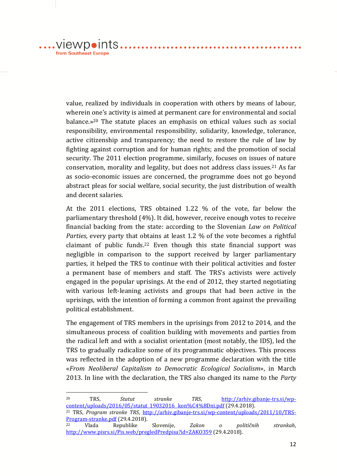value, realized by individuals in cooperation with others by means of labour, wherein one's activity is aimed at permanent care for environmental and social balance.»<sup>20</sup> The statute places an emphasis on ethical values such as social responsibility, environmental responsibility, solidarity, knowledge, tolerance, active citizenship and transparency; the need to restore the rule of law by fighting against corruption and for human rights; and the promotion of social security. The 2011 election programme, similarly, focuses on issues of nature conservation, morality and legality, but does not address class issues.<sup>21</sup> As far as socio-economic issues are concerned, the programme does not go beyond abstract pleas for social welfare, social security, the just distribution of wealth and decent salaries.

At the 2011 elections, TRS obtained 1.22 % of the vote, far below the parliamentary threshold (4%). It did, however, receive enough votes to receive financial backing from the state: according to the Slovenian *Law on Political Parties*, every party that obtains at least 1.2 % of the vote becomes a rightful claimant of public funds.<sup>22</sup> Even though this state financial support was negligible in comparison to the support received by larger parliamentary parties, it helped the TRS to continue with their political activities and foster a permanent base of members and staff. The TRS's activists were actively engaged in the popular uprisings. At the end of 2012, they started negotiating with various left-leaning activists and groups that had been active in the uprisings, with the intention of forming a common front against the prevailing political establishment.

The engagement of TRS members in the uprisings from 2012 to 2014, and the simultaneous process of coalition building with movements and parties from the radical left and with a socialist orientation (most notably, the IDS), led the TRS to gradually radicalize some of its programmatic objectives. This process was reflected in the adoption of a new programme declaration with the title «*From Neoliberal Capitalism to Democratic Ecological Socialism*», in March 2013. In line with the declaration, the TRS also changed its name to the *Party* 

<sup>20</sup> TRS, *Statut stranke TRS*, [http://arhiv.gibanje-trs.si/wp](http://arhiv.gibanje-trs.si/wp-content/uploads/2016/05/statut_19032016_%20kon%C4%8Dni.pdf)[content/uploads/2016/05/statut\\_19032016\\_ kon%C4%8Dni.pdf](http://arhiv.gibanje-trs.si/wp-content/uploads/2016/05/statut_19032016_%20kon%C4%8Dni.pdf) (29.4.2018). <sup>21</sup> TRS, *Program stranke TRS*, [http://arhiv.gibanje-trs.si/wp-content/uploads/2011/10/TRS-](http://arhiv.gibanje-trs.si/wp-content/uploads/2011/10/TRS-Program-stranke.pdf)[Program-stranke.pdf](http://arhiv.gibanje-trs.si/wp-content/uploads/2011/10/TRS-Program-stranke.pdf) (29.4.2018). <sup>22</sup> Vlada Republike Slovenije, *Zakon o političnih strankah*, <http://www.pisrs.si/Pis.web/pregledPredpisa?id=ZAKO359> (29.4.2018).

1

viewpoints.

from Southeast Europe

. . . . . . . . . . .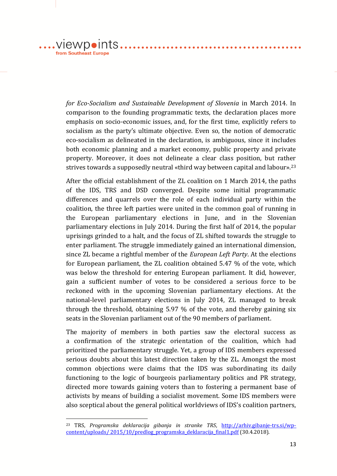.... viewpoints.... from Southeast Europe

1

*for Eco-Socialism and Sustainable Development of Slovenia* in March 2014. In comparison to the founding programmatic texts, the declaration places more emphasis on socio-economic issues, and, for the first time, explicitly refers to socialism as the party's ultimate objective. Even so, the notion of democratic eco-socialism as delineated in the declaration, is ambiguous, since it includes both economic planning and a market economy, public property and private property. Moreover, it does not delineate a clear class position, but rather strives towards a supposedly neutral «third way between capital and labour».<sup>23</sup>

. . . . . . . . . . . . . . . . . . .

. . . . . . . . . . . . . .

After the official establishment of the ZL coalition on 1 March 2014, the paths of the IDS, TRS and DSD converged. Despite some initial programmatic differences and quarrels over the role of each individual party within the coalition, the three left parties were united in the common goal of running in the European parliamentary elections in June, and in the Slovenian parliamentary elections in July 2014. During the first half of 2014, the popular uprisings grinded to a halt, and the focus of ZL shifted towards the struggle to enter parliament. The struggle immediately gained an international dimension, since ZL became a rightful member of the *European Left Party*. At the elections for European parliament, the ZL coalition obtained 5.47 % of the vote, which was below the threshold for entering European parliament. It did, however, gain a sufficient number of votes to be considered a serious force to be reckoned with in the upcoming Slovenian parliamentary elections. At the national-level parliamentary elections in July 2014, ZL managed to break through the threshold, obtaining 5.97 % of the vote, and thereby gaining six seats in the Slovenian parliament out of the 90 members of parliament.

The majority of members in both parties saw the electoral success as a confirmation of the strategic orientation of the coalition, which had prioritized the parliamentary struggle. Yet, a group of IDS members expressed serious doubts about this latest direction taken by the ZL. Amongst the most common objections were claims that the IDS was subordinating its daily functioning to the logic of bourgeois parliamentary politics and PR strategy, directed more towards gaining voters than to fostering a permanent base of activists by means of building a socialist movement. Some IDS members were also sceptical about the general political worldviews of IDS's coalition partners,

<sup>23</sup> TRS, *Programska deklaracija gibanja in stranke TRS*, [http://arhiv.gibanje-trs.si/wp](http://arhiv.gibanje-trs.si/wp-content/uploads/%202015/10/predlog_programska_deklaracija_final1.pdf)[content/uploads/ 2015/10/predlog\\_programska\\_deklaracija\\_final1.pdf](http://arhiv.gibanje-trs.si/wp-content/uploads/%202015/10/predlog_programska_deklaracija_final1.pdf) (30.4.2018).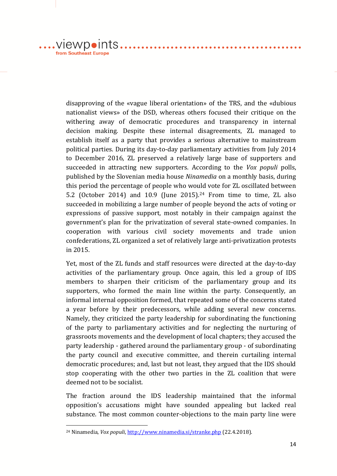from Southeast Europe

<u>.</u>

disapproving of the «vague liberal orientation» of the TRS, and the «dubious nationalist views» of the DSD, whereas others focused their critique on the withering away of democratic procedures and transparency in internal decision making. Despite these internal disagreements, ZL managed to establish itself as a party that provides a serious alternative to mainstream political parties. During its day-to-day parliamentary activities from July 2014 to December 2016, ZL preserved a relatively large base of supporters and succeeded in attracting new supporters. According to the *Vox populi* polls, published by the Slovenian media house *Ninamedia* on a monthly basis, during this period the percentage of people who would vote for ZL oscillated between 5.2 (October 2014) and 10.9 (June 2015).<sup>24</sup> From time to time, ZL also succeeded in mobilizing a large number of people beyond the acts of voting or expressions of passive support, most notably in their campaign against the government's plan for the privatization of several state-owned companies. In cooperation with various civil society movements and trade union confederations, ZL organized a set of relatively large anti-privatization protests in 2015.

Yet, most of the ZL funds and staff resources were directed at the day-to-day activities of the parliamentary group. Once again, this led a group of IDS members to sharpen their criticism of the parliamentary group and its supporters, who formed the main line within the party. Consequently, an informal internal opposition formed, that repeated some of the concerns stated a year before by their predecessors, while adding several new concerns. Namely, they criticized the party leadership for subordinating the functioning of the party to parliamentary activities and for neglecting the nurturing of grassroots movements and the development of local chapters; they accused the party leadership - gathered around the parliamentary group - of subordinating the party council and executive committee, and therein curtailing internal democratic procedures; and, last but not least, they argued that the IDS should stop cooperating with the other two parties in the ZL coalition that were deemed not to be socialist.

The fraction around the IDS leadership maintained that the informal opposition's accusations might have sounded appealing but lacked real substance. The most common counter-objections to the main party line were

<sup>24</sup> Ninamedia, *Vox populi*,<http://www.ninamedia.si/stranke.php> (22.4.2018).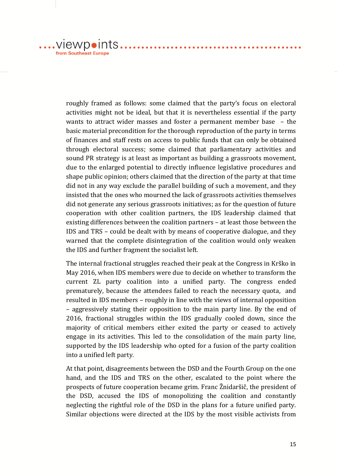$\dots$ . VIEWDOINTS $\dots$ from Southeast Europe

> roughly framed as follows: some claimed that the party's focus on electoral activities might not be ideal, but that it is nevertheless essential if the party wants to attract wider masses and foster a permanent member base – the basic material precondition for the thorough reproduction of the party in terms of finances and staff rests on access to public funds that can only be obtained through electoral success; some claimed that parliamentary activities and sound PR strategy is at least as important as building a grassroots movement, due to the enlarged potential to directly influence legislative procedures and shape public opinion; others claimed that the direction of the party at that time did not in any way exclude the parallel building of such a movement, and they insisted that the ones who mourned the lack of grassroots activities themselves did not generate any serious grassroots initiatives; as for the question of future cooperation with other coalition partners, the IDS leadership claimed that existing differences between the coalition partners – at least those between the IDS and TRS – could be dealt with by means of cooperative dialogue, and they warned that the complete disintegration of the coalition would only weaken the IDS and further fragment the socialist left.

. . . . . . . . . . . . . . . . . .

The internal fractional struggles reached their peak at the Congress in Krško in May 2016, when IDS members were due to decide on whether to transform the current ZL party coalition into a unified party. The congress ended prematurely, because the attendees failed to reach the necessary quota, and resulted in IDS members – roughly in line with the views of internal opposition – aggressively stating their opposition to the main party line. By the end of 2016, fractional struggles within the IDS gradually cooled down, since the majority of critical members either exited the party or ceased to actively engage in its activities. This led to the consolidation of the main party line, supported by the IDS leadership who opted for a fusion of the party coalition into a unified left party.

At that point, disagreements between the DSD and the Fourth Group on the one hand, and the IDS and TRS on the other, escalated to the point where the prospects of future cooperation became grim. Franc Žnidaršič, the president of the DSD, accused the IDS of monopolizing the coalition and constantly neglecting the rightful role of the DSD in the plans for a future unified party. Similar objections were directed at the IDS by the most visible activists from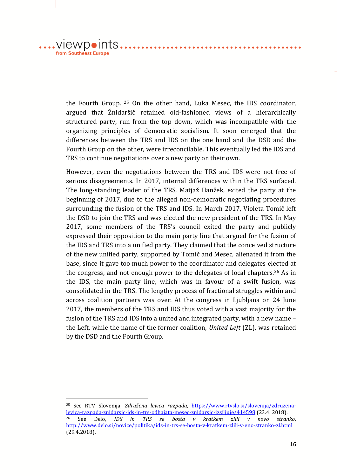$.VI$ ewp $\bullet$ ints.. from Southeast Europe

1

the Fourth Group. <sup>25</sup> On the other hand, Luka Mesec, the IDS coordinator, argued that Žnidaršič retained old-fashioned views of a hierarchically structured party, run from the top down, which was incompatible with the organizing principles of democratic socialism. It soon emerged that the differences between the TRS and IDS on the one hand and the DSD and the Fourth Group on the other, were irreconcilable. This eventually led the IDS and TRS to continue negotiations over a new party on their own.

However, even the negotiations between the TRS and IDS were not free of serious disagreements. In 2017, internal differences within the TRS surfaced. The long-standing leader of the TRS, Matjaž Hanžek, exited the party at the beginning of 2017, due to the alleged non-democratic negotiating procedures surrounding the fusion of the TRS and IDS. In March 2017, Violeta Tomič left the DSD to join the TRS and was elected the new president of the TRS. In May 2017, some members of the TRS's council exited the party and publicly expressed their opposition to the main party line that argued for the fusion of the IDS and TRS into a unified party. They claimed that the conceived structure of the new unified party, supported by Tomič and Mesec, alienated it from the base, since it gave too much power to the coordinator and delegates elected at the congress, and not enough power to the delegates of local chapters.<sup>26</sup> As in the IDS, the main party line, which was in favour of a swift fusion, was consolidated in the TRS. The lengthy process of fractional struggles within and across coalition partners was over. At the congress in Ljubljana on 24 June 2017, the members of the TRS and IDS thus voted with a vast majority for the fusion of the TRS and IDS into a united and integrated party, with a new name – the Left, while the name of the former coalition, *United Left* (ZL), was retained by the DSD and the Fourth Group.

<sup>25</sup> See RTV Slovenija, *Združena levica razpada*, [https://www.rtvslo.si/slovenija/zdruzena](https://www.rtvslo.si/slovenija/zdruzena-levica-razpada-znidarsic-ids-in-trs-odhajata-mesec-znidarsic-izsiljuje/414598)[levica-razpada-znidarsic-ids-in-trs-odhajata-mesec-znidarsic-izsiljuje/414598](https://www.rtvslo.si/slovenija/zdruzena-levica-razpada-znidarsic-ids-in-trs-odhajata-mesec-znidarsic-izsiljuje/414598) (23.4. 2018). <sup>26</sup> See Delo, *IDS in TRS se bosta v kratkem zlili v novo stranko*, <http://www.delo.si/novice/politika/ids-in-trs-se-bosta-v-kratkem-zlili-v-eno-stranko-zl.html> (29.4.2018).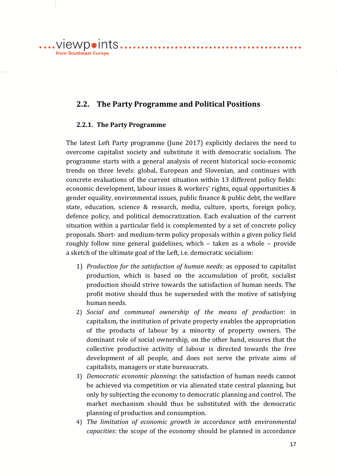**2.2. The Party Programme and Political Positions** 

#### **2.2.1. The Party Programme**

from Southeast Europe

....VIEWDOINTS...........................

The latest Left Party programme (June 2017) explicitly declares the need to overcome capitalist society and substitute it with democratic socialism. The programme starts with a general analysis of recent historical socio-economic trends on three levels: global, European and Slovenian, and continues with concrete evaluations of the current situation within 13 different policy fields: economic development, labour issues & workers' rights, equal opportunities & gender equality, environmental issues, public finance & public debt, the welfare state, education, science & research, media, culture, sports, foreign policy, defence policy, and political democratization. Each evaluation of the current situation within a particular field is complemented by a set of concrete policy proposals. Short- and medium-term policy proposals within a given policy field roughly follow nine general guidelines, which – taken as a whole – provide a sketch of the ultimate goal of the Left, i.e. democratic socialism:

- 1) *Production for the satisfaction of human needs*: as opposed to capitalist production, which is based on the accumulation of profit, socialist production should strive towards the satisfaction of human needs. The profit motive should thus be superseded with the motive of satisfying human needs.
- 2) *Social and communal ownership of the means of production*: in capitalism, the institution of private property enables the appropriation of the products of labour by a minority of property owners. The dominant role of social ownership, on the other hand, ensures that the collective productive activity of labour is directed towards the free development of all people, and does not serve the private aims of capitalists, managers or state bureaucrats.
- 3) *Democratic economic planning*: the satisfaction of human needs cannot be achieved via competition or via alienated state central planning, but only by subjecting the economy to democratic planning and control. The market mechanism should thus be substituted with the democratic planning of production and consumption.
- 4) *The limitation of economic growth in accordance with environmental capacities*: the scope of the economy should be planned in accordance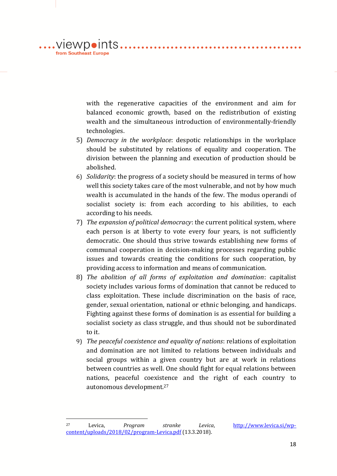with the regenerative capacities of the environment and aim for balanced economic growth, based on the redistribution of existing wealth and the simultaneous introduction of environmentally-friendly technologies.

- 5) *Democracy in the workplace*: despotic relationships in the workplace should be substituted by relations of equality and cooperation. The division between the planning and execution of production should be abolished.
- 6) *Solidarity*: the progress of a society should be measured in terms of how well this society takes care of the most vulnerable, and not by how much wealth is accumulated in the hands of the few. The modus operandi of socialist society is: from each according to his abilities, to each according to his needs.
- 7) *The expansion of political democracy*: the current political system, where each person is at liberty to vote every four years, is not sufficiently democratic. One should thus strive towards establishing new forms of communal cooperation in decision-making processes regarding public issues and towards creating the conditions for such cooperation, by providing access to information and means of communication.
- 8) *The abolition of all forms of exploitation and domination*: capitalist society includes various forms of domination that cannot be reduced to class exploitation. These include discrimination on the basis of race, gender, sexual orientation, national or ethnic belonging, and handicaps. Fighting against these forms of domination is as essential for building a socialist society as class struggle, and thus should not be subordinated to it.
- 9) *The peaceful coexistence and equality of nations*: relations of exploitation and domination are not limited to relations between individuals and social groups within a given country but are at work in relations between countries as well. One should fight for equal relations between nations, peaceful coexistence and the right of each country to autonomous development.<sup>27</sup>

1

.viewpoints. from Southeast Europe

<sup>27</sup> Levica, *Program stranke Levica*, [http://www.levica.si/wp](http://www.levica.si/wp-content/uploads/2018/02/program-Levica.pdf)[content/uploads/2018/02/program-Levica.pdf](http://www.levica.si/wp-content/uploads/2018/02/program-Levica.pdf) (13.3.2018).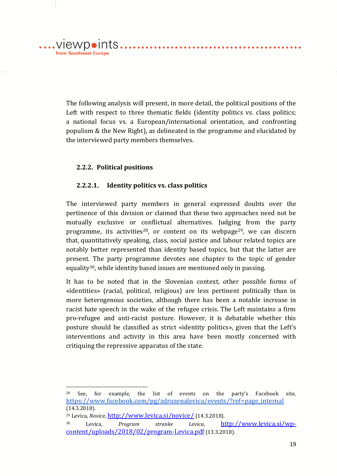The following analysis will present, in more detail, the political positions of the Left with respect to three thematic fields (identity politics vs. class politics; a national focus vs. a European/international orientation, and confronting populism & the New Right), as delineated in the programme and elucidated by the interviewed party members themselves.

. . . . . . . . . . . . . . . .

#### **2.2.2. Political positions**

.viewpoints.

from Southeast Europe

#### **2.2.2.1. Identity politics vs. class politics**

The interviewed party members in general expressed doubts over the pertinence of this division or claimed that these two approaches need not be mutually exclusive or conflictual alternatives. Judging from the party programme, its activities<sup>28</sup>, or content on its webpage<sup>29</sup>, we can discern that, quantitatively speaking, class, social justice and labour related topics are notably better represented than identity based topics, but that the latter are present. The party programme devotes one chapter to the topic of gender equality<sup>30</sup>, while identity based issues are mentioned only in passing.

It has to be noted that in the Slovenian context, other possible forms of «identities» (racial, political, religious) are less pertinent politically than in more heterogenous societies, although there has been a notable increase in racist hate speech in the wake of the refugee crisis. The Left maintains a firm pro-refugee and anti-racist posture. However, it is debatable whether this posture should be classified as strict «identity politics», given that the Left's interventions and activity in this area have been mostly concerned with critiquing the repressive apparatus of the state.

<sup>28</sup> See, for example, the list of events on the party's Facebook site, [https://www.facebook.com/pg/zdruzenalevica/events/?ref=page\\_internal](https://www.facebook.com/pg/zdruzenalevica/events/?ref=page_internal) (14.3.2018).

<sup>29</sup> Levica, *Novice*, <http://www.levica.si/novice/> (14.3.2018).

<sup>30</sup> Levica, *Program stranke Levica*, [http://www.levica.si/wp](http://www.levica.si/wp-content/uploads/2018/02/program-Levica.pdf)[content/uploads/2018/02/program-Levica.pdf](http://www.levica.si/wp-content/uploads/2018/02/program-Levica.pdf) (13.3.2018).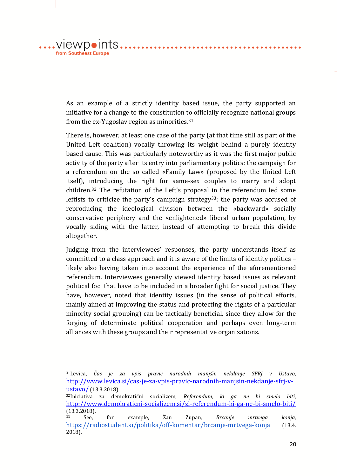, viewpoints. from Southeast Europe

1

As an example of a strictly identity based issue, the party supported an initiative for a change to the constitution to officially recognize national groups from the ex-Yugoslav region as minorities.<sup>31</sup>

There is, however, at least one case of the party (at that time still as part of the United Left coalition) vocally throwing its weight behind a purely identity based cause. This was particularly noteworthy as it was the first major public activity of the party after its entry into parliamentary politics: the campaign for a referendum on the so called «Family Law» (proposed by the United Left itself), introducing the right for same-sex couples to marry and adopt children.<sup>32</sup> The refutation of the Left's proposal in the referendum led some leftists to criticize the party's campaign strategy<sup>33</sup>: the party was accused of reproducing the ideological division between the «backward» socially conservative periphery and the «enlightened» liberal urban population, by vocally siding with the latter, instead of attempting to break this divide altogether.

Judging from the interviewees' responses, the party understands itself as committed to a class approach and it is aware of the limits of identity politics – likely also having taken into account the experience of the aforementioned referendum. Interviewees generally viewed identity based issues as relevant political foci that have to be included in a broader fight for social justice. They have, however, noted that identity issues (in the sense of political efforts, mainly aimed at improving the status and protecting the rights of a particular minority social grouping) can be tactically beneficial, since they allow for the forging of determinate political cooperation and perhaps even long-term alliances with these groups and their representative organizations.

<sup>31</sup>Levica, *Čas je za vpis pravic narodnih manjšin nekdanje SFRJ v Ustavo*, [http://www.levica.si/cas-je-za-vpis-pravic-narodnih-manjsin-nekdanje-sfrj-v](http://www.levica.si/cas-je-za-vpis-pravic-narodnih-manjsin-nekdanje-sfrj-v-ustavo/)[ustavo/](http://www.levica.si/cas-je-za-vpis-pravic-narodnih-manjsin-nekdanje-sfrj-v-ustavo/) (13.3.2018).

<sup>32</sup>Iniciativa za demokratični socializem, *Referendum, ki ga ne bi smelo biti*, <http://www.demokraticni-socializem.si/zl-referendum-ki-ga-ne-bi-smelo-biti/> (13.3.2018).

<sup>33</sup> See, for example, Žan Zupan, *Brcanje mrtvega konja*, <https://radiostudent.si/politika/off-komentar/brcanje-mrtvega-konja> (13.4. 2018).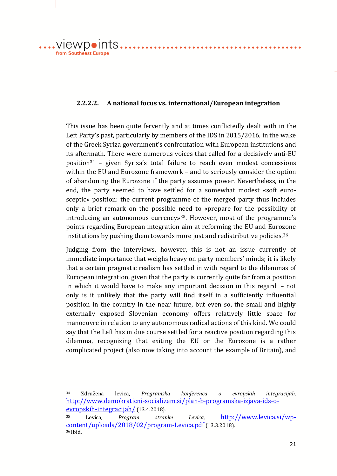viewpoints. from Southeast Europe

1

#### **2.2.2.2. A national focus vs. international/European integration**

This issue has been quite fervently and at times conflictedly dealt with in the Left Party's past, particularly by members of the IDS in 2015/2016, in the wake of the Greek Syriza government's confrontation with European institutions and its aftermath. There were numerous voices that called for a decisively anti-EU position<sup>34</sup> – given Syriza's total failure to reach even modest concessions within the EU and Eurozone framework – and to seriously consider the option of abandoning the Eurozone if the party assumes power. Nevertheless, in the end, the party seemed to have settled for a somewhat modest «soft eurosceptic» position: the current programme of the merged party thus includes only a brief remark on the possible need to «prepare for the possibility of introducing an autonomous currency»35. However, most of the programme's points regarding European integration aim at reforming the EU and Eurozone institutions by pushing them towards more just and redistributive policies.<sup>36</sup>

Judging from the interviews, however, this is not an issue currently of immediate importance that weighs heavy on party members' minds; it is likely that a certain pragmatic realism has settled in with regard to the dilemmas of European integration, given that the party is currently quite far from a position in which it would have to make any important decision in this regard – not only is it unlikely that the party will find itself in a sufficiently influential position in the country in the near future, but even so, the small and highly externally exposed Slovenian economy offers relatively little space for manoeuvre in relation to any autonomous radical actions of this kind. We could say that the Left has in due course settled for a reactive position regarding this dilemma, recognizing that exiting the EU or the Eurozone is a rather complicated project (also now taking into account the example of Britain), and

<sup>34</sup> Združena levica, *Programska konferenca o evropskih integracijah,*  [http://www.demokraticni-socializem.si/plan-b-programska-izjava-ids-o](http://www.demokraticni-socializem.si/plan-b-programska-izjava-ids-o-evropskih-integracijah/)[evropskih-integracijah/](http://www.demokraticni-socializem.si/plan-b-programska-izjava-ids-o-evropskih-integracijah/) (13.4.2018).

<sup>35</sup> Levica*, Program stranke Levica*, [http://www.levica.si/wp](http://www.levica.si/wp-content/uploads/2018/02/program-Levica.pdf)[content/uploads/2018/02/program-Levica.pdf](http://www.levica.si/wp-content/uploads/2018/02/program-Levica.pdf) (13.3.2018). <sup>36</sup> Ibid.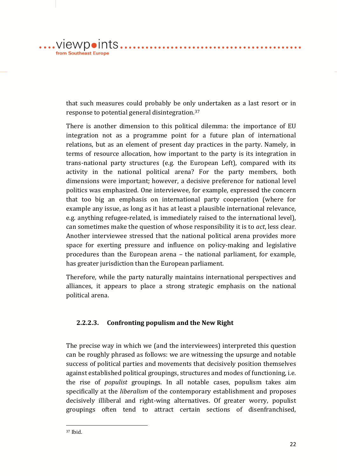....VIewpoints....... from Southeast Europe

> that such measures could probably be only undertaken as a last resort or in response to potential general disintegration.<sup>37</sup>

. . . . . . . . . . . . . . . . . . .

. . . . . . . . . . . . . .

There is another dimension to this political dilemma: the importance of EU integration not as a programme point for a future plan of international relations, but as an element of present day practices in the party. Namely, in terms of resource allocation, how important to the party is its integration in trans-national party structures (e.g. the European Left), compared with its activity in the national political arena? For the party members, both dimensions were important; however, a decisive preference for national level politics was emphasized. One interviewee, for example, expressed the concern that too big an emphasis on international party cooperation (where for example any issue, as long as it has at least a plausible international relevance, e.g. anything refugee-related, is immediately raised to the international level), can sometimes make the question of whose responsibility it is to *act*, less clear*.*  Another interviewee stressed that the national political arena provides more space for exerting pressure and influence on policy-making and legislative procedures than the European arena – the national parliament, for example, has greater jurisdiction than the European parliament.

Therefore, while the party naturally maintains international perspectives and alliances, it appears to place a strong strategic emphasis on the national political arena.

#### **2.2.2.3. Confronting populism and the New Right**

The precise way in which we (and the interviewees) interpreted this question can be roughly phrased as follows: we are witnessing the upsurge and notable success of political parties and movements that decisively position themselves against established political groupings, structures and modes of functioning, i.e. the rise of *populist* groupings. In all notable cases, populism takes aim specifically at the *liberalism* of the contemporary establishment and proposes decisively illiberal and right-wing alternatives. Of greater worry, populist groupings often tend to attract certain sections of disenfranchised,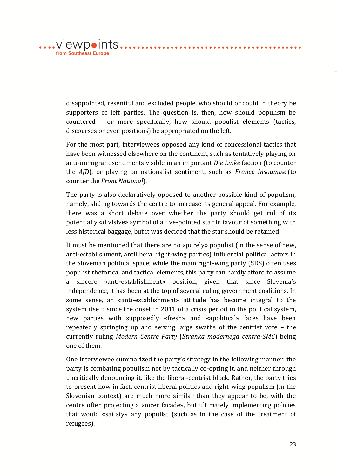disappointed, resentful and excluded people, who should or could in theory be supporters of left parties. The question is, then, how should populism be countered – or more specifically, how should populist elements (tactics,

discourses or even positions) be appropriated on the left.

 $\dots$ .viewpoints...

from Southeast Europe

For the most part, interviewees opposed any kind of concessional tactics that have been witnessed elsewhere on the continent, such as tentatively playing on anti-immigrant sentiments visible in an important *Die Linke* faction (to counter the *AfD*), or playing on nationalist sentiment, such as *France Insoumise* (to counter the *Front National*).

. . . . . . . . . . . . . . . . .

The party is also declaratively opposed to another possible kind of populism, namely, sliding towards the centre to increase its general appeal. For example, there was a short debate over whether the party should get rid of its potentially «divisive» symbol of a five-pointed star in favour of something with less historical baggage, but it was decided that the star should be retained.

It must be mentioned that there are no «purely» populist (in the sense of new, anti-establishment, antiliberal right-wing parties) influential political actors in the Slovenian political space; while the main right-wing party (SDS) often uses populist rhetorical and tactical elements, this party can hardly afford to assume a sincere «anti-establishment» position, given that since Slovenia's independence, it has been at the top of several ruling government coalitions. In some sense, an «anti-establishment» attitude has become integral to the system itself: since the onset in 2011 of a crisis period in the political system, new parties with supposedly «fresh» and «apolitical» faces have been repeatedly springing up and seizing large swaths of the centrist vote – the currently ruling *Modern Centre Party* (*Stranka modernega centra-SMC*) being one of them.

One interviewee summarized the party's strategy in the following manner: the party is combating populism not by tactically co-opting it, and neither through uncritically denouncing it, like the liberal-centrist block. Rather, the party tries to present how in fact, centrist liberal politics and right-wing populism (in the Slovenian context) are much more similar than they appear to be, with the centre often projecting a «nicer facade», but ultimately implementing policies that would «satisfy» any populist (such as in the case of the treatment of refugees).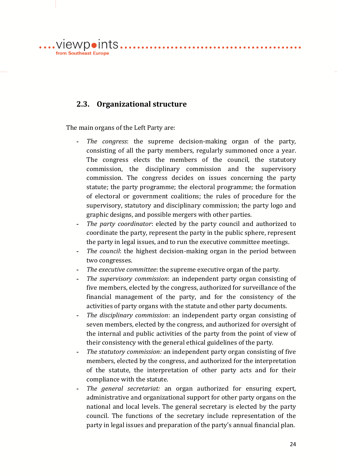....VIewpoints......................... from Southeast Europe

# **2.3. Organizational structure**

The main organs of the Left Party are:

- **-** *The congress*: the supreme decision-making organ of the party, consisting of all the party members, regularly summoned once a year. The congress elects the members of the council, the statutory commission, the disciplinary commission and the supervisory commission. The congress decides on issues concerning the party statute; the party programme; the electoral programme; the formation of electoral or government coalitions; the rules of procedure for the supervisory, statutory and disciplinary commission; the party logo and graphic designs, and possible mergers with other parties.
- **-** *The party coordinator*: elected by the party council and authorized to coordinate the party, represent the party in the public sphere, represent the party in legal issues, and to run the executive committee meetings.
- **-** *The council*: the highest decision-making organ in the period between two congresses.
- **-** *The executive committee*: the supreme executive organ of the party.
- **-** *The supervisory commission*: an independent party organ consisting of five members, elected by the congress, authorized for surveillance of the financial management of the party, and for the consistency of the activities of party organs with the statute and other party documents.
- **-** *The disciplinary commission*: an independent party organ consisting of seven members, elected by the congress, and authorized for oversight of the internal and public activities of the party from the point of view of their consistency with the general ethical guidelines of the party.
- **-** *The statutory commission:* an independent party organ consisting of five members, elected by the congress, and authorized for the interpretation of the statute, the interpretation of other party acts and for their compliance with the statute.
- **-** *The general secretariat:* an organ authorized for ensuring expert, administrative and organizational support for other party organs on the national and local levels. The general secretary is elected by the party council. The functions of the secretary include representation of the party in legal issues and preparation of the party's annual financial plan.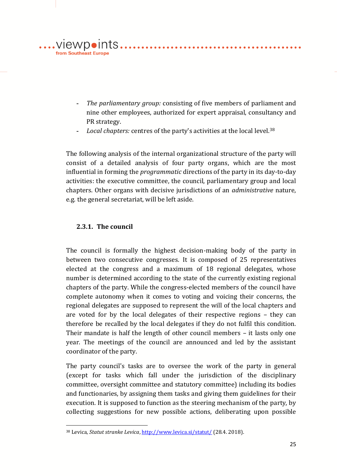

- **-** *The parliamentary group:* consisting of five members of parliament and nine other employees, authorized for expert appraisal, consultancy and PR strategy.
- **-** *Local chapters:* centres of the party's activities at the local level.<sup>38</sup>

The following analysis of the internal organizational structure of the party will consist of a detailed analysis of four party organs, which are the most influential in forming the *programmatic* directions of the party in its day-to-day activities: the executive committee, the council, parliamentary group and local chapters. Other organs with decisive jurisdictions of an *administrative* nature, e.g. the general secretariat, will be left aside.

#### **2.3.1. The council**

<u>.</u>

The council is formally the highest decision-making body of the party in between two consecutive congresses. It is composed of 25 representatives elected at the congress and a maximum of 18 regional delegates, whose number is determined according to the state of the currently existing regional chapters of the party. While the congress-elected members of the council have complete autonomy when it comes to voting and voicing their concerns, the regional delegates are supposed to represent the will of the local chapters and are voted for by the local delegates of their respective regions – they can therefore be recalled by the local delegates if they do not fulfil this condition. Their mandate is half the length of other council members – it lasts only one year. The meetings of the council are announced and led by the assistant coordinator of the party.

The party council's tasks are to oversee the work of the party in general (except for tasks which fall under the jurisdiction of the disciplinary committee, oversight committee and statutory committee) including its bodies and functionaries, by assigning them tasks and giving them guidelines for their execution. It is supposed to function as the steering mechanism of the party, by collecting suggestions for new possible actions, deliberating upon possible

<sup>38</sup> Levica, *Statut stranke Levica*[, http://www.levica.si/statut/](http://www.levica.si/statut/) (28.4. 2018).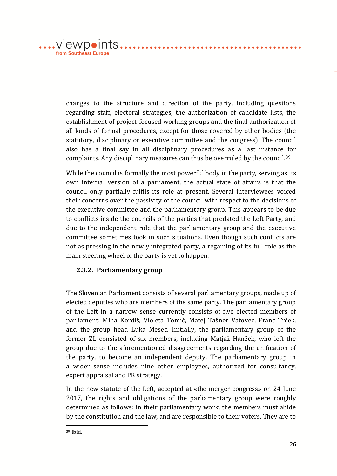$\dots$ .viewpoints... from Southeast Europe

> changes to the structure and direction of the party, including questions regarding staff, electoral strategies, the authorization of candidate lists, the establishment of project-focused working groups and the final authorization of all kinds of formal procedures, except for those covered by other bodies (the statutory, disciplinary or executive committee and the congress). The council also has a final say in all disciplinary procedures as a last instance for complaints. Any disciplinary measures can thus be overruled by the council.<sup>39</sup>

. . . . . . . . . . . . . . . . .

While the council is formally the most powerful body in the party, serving as its own internal version of a parliament, the actual state of affairs is that the council only partially fulfils its role at present. Several interviewees voiced their concerns over the passivity of the council with respect to the decisions of the executive committee and the parliamentary group. This appears to be due to conflicts inside the councils of the parties that predated the Left Party, and due to the independent role that the parliamentary group and the executive committee sometimes took in such situations. Even though such conflicts are not as pressing in the newly integrated party, a regaining of its full role as the main steering wheel of the party is yet to happen.

#### **2.3.2. Parliamentary group**

The Slovenian Parliament consists of several parliamentary groups, made up of elected deputies who are members of the same party. The parliamentary group of the Left in a narrow sense currently consists of five elected members of parliament: Miha Kordiš, Violeta Tomič, Matej Tašner Vatovec, Franc Trček, and the group head Luka Mesec. Initially, the parliamentary group of the former ZL consisted of six members, including Matjaž Hanžek, who left the group due to the aforementioned disagreements regarding the unification of the party, to become an independent deputy. The parliamentary group in a wider sense includes nine other employees, authorized for consultancy, expert appraisal and PR strategy.

In the new statute of the Left, accepted at «the merger congress» on 24 June 2017, the rights and obligations of the parliamentary group were roughly determined as follows: in their parliamentary work, the members must abide by the constitution and the law, and are responsible to their voters. They are to

<u>.</u>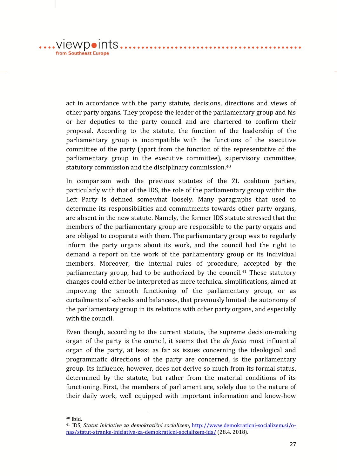$\dots$ .viewpoints $\dots$ . from Southeast Europe

> act in accordance with the party statute, decisions, directions and views of other party organs. They propose the leader of the parliamentary group and his or her deputies to the party council and are chartered to confirm their proposal. According to the statute, the function of the leadership of the parliamentary group is incompatible with the functions of the executive committee of the party (apart from the function of the representative of the parliamentary group in the executive committee), supervisory committee, statutory commission and the disciplinary commission.<sup>40</sup>

. . . . . . . . . . . . . . . .

In comparison with the previous statutes of the ZL coalition parties, particularly with that of the IDS, the role of the parliamentary group within the Left Party is defined somewhat loosely. Many paragraphs that used to determine its responsibilities and commitments towards other party organs, are absent in the new statute. Namely, the former IDS statute stressed that the members of the parliamentary group are responsible to the party organs and are obliged to cooperate with them. The parliamentary group was to regularly inform the party organs about its work, and the council had the right to demand a report on the work of the parliamentary group or its individual members. Moreover, the internal rules of procedure, accepted by the parliamentary group, had to be authorized by the council.<sup>41</sup> These statutory changes could either be interpreted as mere technical simplifications, aimed at improving the smooth functioning of the parliamentary group, or as curtailments of «checks and balances», that previously limited the autonomy of the parliamentary group in its relations with other party organs, and especially with the council.

Even though, according to the current statute, the supreme decision-making organ of the party is the council, it seems that the *de facto* most influential organ of the party, at least as far as issues concerning the ideological and programmatic directions of the party are concerned, is the parliamentary group. Its influence, however, does not derive so much from its formal status, determined by the statute, but rather from the material conditions of its functioning. First, the members of parliament are, solely due to the nature of their daily work, well equipped with important information and know-how

 $40$  Ihid.

<sup>41</sup> IDS, *Statut Iniciative za demokratični socializem*, [http://www.demokraticni-socializem.si/o](http://www.demokraticni-socializem.si/o-nas/statut-stranke-iniciativa-za-demokraticni-socializem-ids/)[nas/statut-stranke-iniciativa-za-demokraticni-socializem-ids/](http://www.demokraticni-socializem.si/o-nas/statut-stranke-iniciativa-za-demokraticni-socializem-ids/) (28.4. 2018).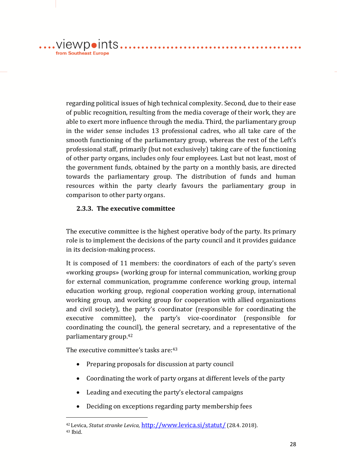....VIewpoints... from Southeast Europe

> regarding political issues of high technical complexity. Second, due to their ease of public recognition, resulting from the media coverage of their work, they are able to exert more influence through the media. Third, the parliamentary group in the wider sense includes 13 professional cadres, who all take care of the smooth functioning of the parliamentary group, whereas the rest of the Left's professional staff, primarily (but not exclusively) taking care of the functioning of other party organs, includes only four employees. Last but not least, most of the government funds, obtained by the party on a monthly basis, are directed towards the parliamentary group. The distribution of funds and human resources within the party clearly favours the parliamentary group in comparison to other party organs.

. . . . . . . . . . . . . . . . . . .

. . . . . . . . . . . . . .

#### **2.3.3. The executive committee**

The executive committee is the highest operative body of the party. Its primary role is to implement the decisions of the party council and it provides guidance in its decision-making process.

It is composed of 11 members: the coordinators of each of the party's seven «working groups» (working group for internal communication, working group for external communication, programme conference working group, internal education working group, regional cooperation working group, international working group, and working group for cooperation with allied organizations and civil society), the party's coordinator (responsible for coordinating the executive committee), the party's vice-coordinator (responsible for coordinating the council), the general secretary, and a representative of the parliamentary group.<sup>42</sup>

The executive committee's tasks are: 43

- Preparing proposals for discussion at party council
- Coordinating the work of party organs at different levels of the party
- Leading and executing the party's electoral campaigns
- Deciding on exceptions regarding party membership fees

<sup>42</sup> Levica, *Statut stranke Levica,* <http://www.levica.si/statut/> (28.4. 2018). <sup>43</sup> Ibid.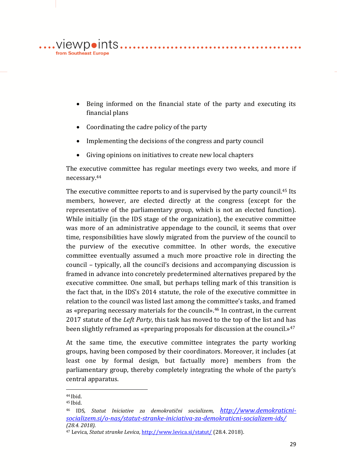

 Being informed on the financial state of the party and executing its financial plans

. . . . . . . . . . . . . . . . . . .

. . . . . . . . . . . . . . .

- Coordinating the cadre policy of the party
- Implementing the decisions of the congress and party council
- Giving opinions on initiatives to create new local chapters

The executive committee has regular meetings every two weeks, and more if necessary.<sup>44</sup>

The executive committee reports to and is supervised by the party council.<sup>45</sup> Its members, however, are elected directly at the congress (except for the representative of the parliamentary group, which is not an elected function). While initially (in the IDS stage of the organization), the executive committee was more of an administrative appendage to the council, it seems that over time, responsibilities have slowly migrated from the purview of the council to the purview of the executive committee. In other words, the executive committee eventually assumed a much more proactive role in directing the council – typically, all the council's decisions and accompanying discussion is framed in advance into concretely predetermined alternatives prepared by the executive committee. One small, but perhaps telling mark of this transition is the fact that, in the IDS's 2014 statute, the role of the executive committee in relation to the council was listed last among the committee's tasks, and framed as «preparing necessary materials for the council».<sup>46</sup> In contrast, in the current 2017 statute of the *Left Party*, this task has moved to the top of the list and has been slightly reframed as «preparing proposals for discussion at the council.»<sup>47</sup>

At the same time, the executive committee integrates the party working groups, having been composed by their coordinators. Moreover, it includes (at least one by formal design, but factually more) members from the parliamentary group, thereby completely integrating the whole of the party's central apparatus.

<sup>44</sup> Ibid.

<sup>45</sup> Ibid.

<sup>46</sup> IDS*, Statut Iniciative za demokratični socializem, [http://www.demokraticni](http://www.demokraticni-socializem.si/o-nas/statut-stranke-iniciativa-za-demokraticni-socializem-ids/)[socializem.si/o-nas/statut-stranke-iniciativa-za-demokraticni-socializem-ids/](http://www.demokraticni-socializem.si/o-nas/statut-stranke-iniciativa-za-demokraticni-socializem-ids/) (28.4. 2018).*

<sup>47</sup> Levica, *Statut stranke Levica,* <http://www.levica.si/statut/> (28.4. 2018).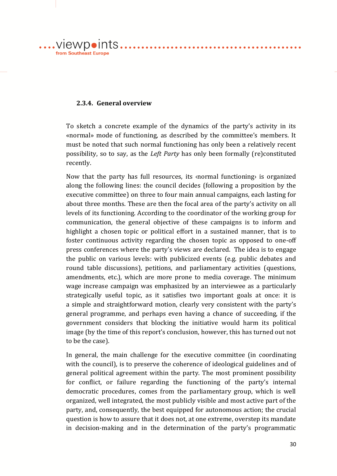

#### **2.3.4. General overview**

To sketch a concrete example of the dynamics of the party's activity in its «normal» mode of functioning, as described by the committee's members. It must be noted that such normal functioning has only been a relatively recent possibility, so to say, as the *Left Party* has only been formally (re)constituted recently.

. . . . . . . . . . . . . . . .

Now that the party has full resources, its ‹normal functioning› is organized along the following lines: the council decides (following a proposition by the executive committee) on three to four main annual campaigns, each lasting for about three months. These are then the focal area of the party's activity on all levels of its functioning. According to the coordinator of the working group for communication, the general objective of these campaigns is to inform and highlight a chosen topic or political effort in a sustained manner, that is to foster continuous activity regarding the chosen topic as opposed to one-off press conferences where the party's views are declared. The idea is to engage the public on various levels: with publicized events (e.g. public debates and round table discussions), petitions, and parliamentary activities (questions, amendments, etc.), which are more prone to media coverage. The minimum wage increase campaign was emphasized by an interviewee as a particularly strategically useful topic, as it satisfies two important goals at once: it is a simple and straightforward motion, clearly very consistent with the party's general programme, and perhaps even having a chance of succeeding, if the government considers that blocking the initiative would harm its political image (by the time of this report's conclusion, however, this has turned out not to be the case).

In general, the main challenge for the executive committee (in coordinating with the council), is to preserve the coherence of ideological guidelines and of general political agreement within the party. The most prominent possibility for conflict, or failure regarding the functioning of the party's internal democratic procedures, comes from the parliamentary group, which is well organized, well integrated, the most publicly visible and most active part of the party, and, consequently, the best equipped for autonomous action; the crucial question is how to assure that it does not, at one extreme, overstep its mandate in decision-making and in the determination of the party's programmatic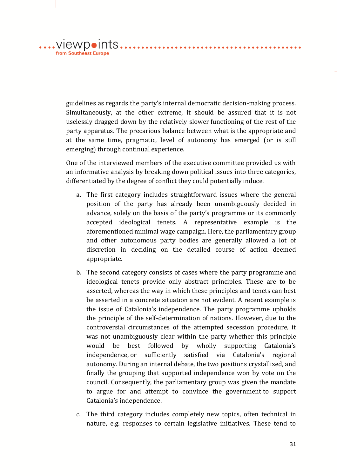guidelines as regards the party's internal democratic decision-making process. Simultaneously, at the other extreme, it should be assured that it is not uselessly dragged down by the relatively slower functioning of the rest of the party apparatus. The precarious balance between what is the appropriate and at the same time, pragmatic, level of autonomy has emerged (or is still emerging) through continual experience.

. . . . . . . . . . . . . . . . . .

.viewpoints...

from Southeast Europe

One of the interviewed members of the executive committee provided us with an informative analysis by breaking down political issues into three categories, differentiated by the degree of conflict they could potentially induce.

- a. The first category includes straightforward issues where the general position of the party has already been unambiguously decided in advance, solely on the basis of the party's programme or its commonly accepted ideological tenets. A representative example is the aforementioned minimal wage campaign. Here, the parliamentary group and other autonomous party bodies are generally allowed a lot of discretion in deciding on the detailed course of action deemed appropriate.
- b. The second category consists of cases where the party programme and ideological tenets provide only abstract principles. These are to be asserted, whereas the way in which these principles and tenets can best be asserted in a concrete situation are not evident. A recent example is the issue of Catalonia's independence. The party programme upholds the principle of the self-determination of nations. However, due to the controversial circumstances of the attempted secession procedure, it was not unambiguously clear within the party whether this principle would be best followed by wholly supporting Catalonia's independence, or sufficiently satisfied via Catalonia's regional autonomy. During an internal debate, the two positions crystallized, and finally the grouping that supported independence won by vote on the council. Consequently, the parliamentary group was given the mandate to argue for and attempt to convince the government to support Catalonia's independence.
- c. The third category includes completely new topics, often technical in nature, e.g. responses to certain legislative initiatives. These tend to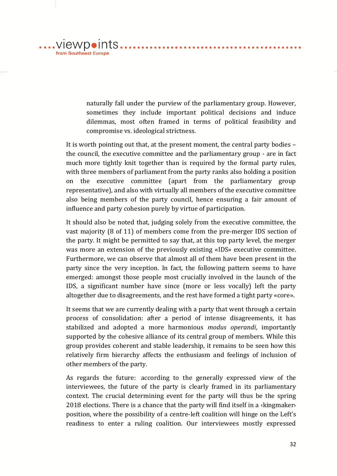naturally fall under the purview of the parliamentary group. However, sometimes they include important political decisions and induce dilemmas, most often framed in terms of political feasibility and compromise vs. ideological strictness.

....VIEWp•Ints..........................

from Southeast Europe

It is worth pointing out that, at the present moment, the central party bodies – the council, the executive committee and the parliamentary group - are in fact much more tightly knit together than is required by the formal party rules, with three members of parliament from the party ranks also holding a position on the executive committee (apart from the parliamentary group representative), and also with virtually all members of the executive committee also being members of the party council, hence ensuring a fair amount of influence and party cohesion purely by virtue of participation.

It should also be noted that, judging solely from the executive committee, the vast majority (8 of 11) of members come from the pre-merger IDS section of the party. It might be permitted to say that, at this top party level, the merger was more an extension of the previously existing «IDS» executive committee. Furthermore, we can observe that almost all of them have been present in the party since the very inception. In fact, the following pattern seems to have emerged: amongst those people most crucially involved in the launch of the IDS, a significant number have since (more or less vocally) left the party altogether due to disagreements, and the rest have formed a tight party «core».

It seems that we are currently dealing with a party that went through a certain process of consolidation: after a period of intense disagreements, it has stabilized and adopted a more harmonious *modus operandi*, importantly supported by the cohesive alliance of its central group of members. While this group provides coherent and stable leadership, it remains to be seen how this relatively firm hierarchy affects the enthusiasm and feelings of inclusion of other members of the party.

As regards the future: according to the generally expressed view of the interviewees, the future of the party is clearly framed in its parliamentary context. The crucial determining event for the party will thus be the spring 2018 elections. There is a chance that the party will find itself in a ‹kingmaker› position, where the possibility of a centre-left coalition will hinge on the Left's readiness to enter a ruling coalition. Our interviewees mostly expressed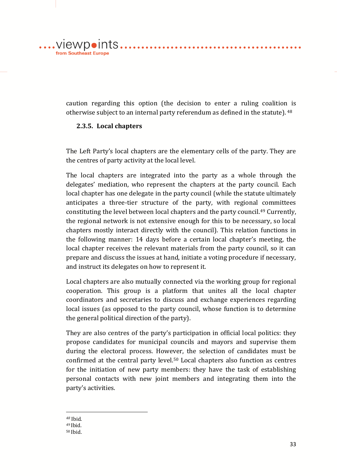$\dots$ .viewpoints... from Southeast Europe

> caution regarding this option (the decision to enter a ruling coalition is otherwise subject to an internal party referendum as defined in the statute). <sup>48</sup>

. . . . . . . . . . . . . . . . . . .

. . . . . . . . . . . . .

#### **2.3.5. Local chapters**

The Left Party's local chapters are the elementary cells of the party. They are the centres of party activity at the local level.

The local chapters are integrated into the party as a whole through the delegates' mediation, who represent the chapters at the party council. Each local chapter has one delegate in the party council (while the statute ultimately anticipates a three-tier structure of the party, with regional committees constituting the level between local chapters and the party council.<sup>49</sup> Currently, the regional network is not extensive enough for this to be necessary, so local chapters mostly interact directly with the council). This relation functions in the following manner: 14 days before a certain local chapter's meeting, the local chapter receives the relevant materials from the party council, so it can prepare and discuss the issues at hand, initiate a voting procedure if necessary, and instruct its delegates on how to represent it.

Local chapters are also mutually connected via the working group for regional cooperation. This group is a platform that unites all the local chapter coordinators and secretaries to discuss and exchange experiences regarding local issues (as opposed to the party council, whose function is to determine the general political direction of the party).

They are also centres of the party's participation in official local politics: they propose candidates for municipal councils and mayors and supervise them during the electoral process. However, the selection of candidates must be confirmed at the central party level.<sup>50</sup> Local chapters also function as centres for the initiation of new party members: they have the task of establishing personal contacts with new joint members and integrating them into the party's activities.

1 *<sup>48</sup>* Ibid. *<sup>49</sup>* Ibid.

<sup>50</sup> Ibid.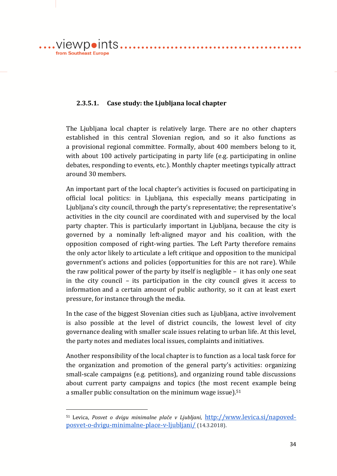....VIewpoints... from Southeast Europe

<u>.</u>

#### **2.3.5.1. Case study: the Ljubljana local chapter**

The Ljubljana local chapter is relatively large. There are no other chapters established in this central Slovenian region, and so it also functions as a provisional regional committee. Formally, about 400 members belong to it, with about 100 actively participating in party life (e.g. participating in online debates, responding to events, etc.). Monthly chapter meetings typically attract around 30 members.

. . . . . . . . . . . . . . . . .

An important part of the local chapter's activities is focused on participating in official local politics: in Ljubljana, this especially means participating in Ljubljana's city council, through the party's representative; the representative's activities in the city council are coordinated with and supervised by the local party chapter. This is particularly important in Ljubljana, because the city is governed by a nominally left-aligned mayor and his coalition, with the opposition composed of right-wing parties. The Left Party therefore remains the only actor likely to articulate a left critique and opposition to the municipal government's actions and policies (opportunities for this are not rare). While the raw political power of the party by itself is negligible – it has only one seat in the city council – its participation in the city council gives it access to information and a certain amount of public authority, so it can at least exert pressure, for instance through the media.

In the case of the biggest Slovenian cities such as Ljubljana, active involvement is also possible at the level of district councils, the lowest level of city governance dealing with smaller scale issues relating to urban life. At this level, the party notes and mediates local issues, complaints and initiatives.

Another responsibility of the local chapter is to function as a local task force for the organization and promotion of the general party's activities: organizing small-scale campaigns (e.g. petitions), and organizing round table discussions about current party campaigns and topics (the most recent example being a smaller public consultation on the minimum wage issue).<sup>51</sup>

<sup>51</sup> Levica, *Posvet o dvigu minimalne plače v Ljubljani*, [http://www.levica.si/napoved](http://www.levica.si/napoved-posvet-o-dvigu-minimalne-place-v-ljubljani/)[posvet-o-dvigu-minimalne-place-v-ljubljani/](http://www.levica.si/napoved-posvet-o-dvigu-minimalne-place-v-ljubljani/) (14.3.2018).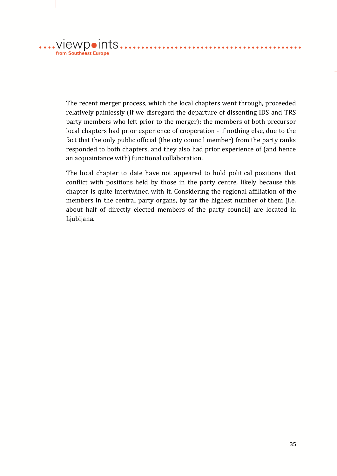from Southeast Europe

> The recent merger process, which the local chapters went through, proceeded relatively painlessly (if we disregard the departure of dissenting IDS and TRS party members who left prior to the merger); the members of both precursor local chapters had prior experience of cooperation - if nothing else, due to the fact that the only public official (the city council member) from the party ranks responded to both chapters, and they also had prior experience of (and hence an acquaintance with) functional collaboration.

> The local chapter to date have not appeared to hold political positions that conflict with positions held by those in the party centre, likely because this chapter is quite intertwined with it. Considering the regional affiliation of the members in the central party organs, by far the highest number of them (i.e. about half of directly elected members of the party council) are located in Ljubljana.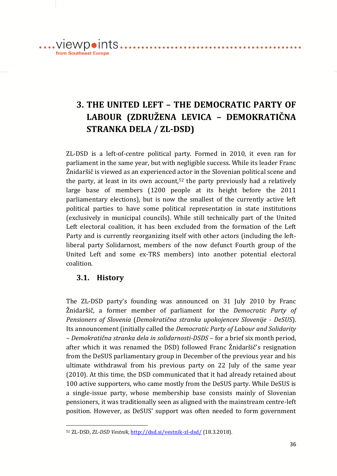from Southeast Europe

# **3. THE UNITED LEFT – THE DEMOCRATIC PARTY OF LABOUR (ZDRUŽENA LEVICA – DEMOKRATIČNA STRANKA DELA / ZL-DSD)**

ZL-DSD is a left-of-centre political party. Formed in 2010, it even ran for parliament in the same year, but with negligible success. While its leader Franc Žnidaršič is viewed as an experienced actor in the Slovenian political scene and the party, at least in its own account,<sup>52</sup> the party previously had a relatively large base of members (1200 people at its height before the 2011 parliamentary elections), but is now the smallest of the currently active left political parties to have some political representation in state institutions (exclusively in municipal councils). While still technically part of the United Left electoral coalition, it has been excluded from the formation of the Left Party and is currently reorganizing itself with other actors (including the leftliberal party Solidarnost, members of the now defunct Fourth group of the United Left and some ex-TRS members) into another potential electoral coalition.

# **3.1. History**

<u>.</u>

The ZL-DSD party's founding was announced on 31 July 2010 by Franc Žnidaršič, a former member of parliament for the *Democratic Party of Pensioners of Slovenia* (*Demokratična stranka upokojencev Slovenije - DeSUS*). Its announcement (initially called the *Democratic Party of Labour and Solidarity – Demokratična stranka dela in solidarnosti-DSDS* – for a brief six month period, after which it was renamed the DSD) followed Franc Žnidaršič's resignation from the DeSUS parliamentary group in December of the previous year and his ultimate withdrawal from his previous party on 22 July of the same year (2010). At this time, the DSD communicated that it had already retained about 100 active supporters, who came mostly from the DeSUS party. While DeSUS is a single-issue party, whose membership base consists mainly of Slovenian pensioners, it was traditionally seen as aligned with the mainstream centre-left position. However, as DeSUS' support was often needed to form government

<sup>52</sup> ZL-DSD, *ZL-DSD Vestnik*[, http://dsd.si/vestnik-zl-dsd/](http://dsd.si/vestnik-zl-dsd/) (18.3.2018).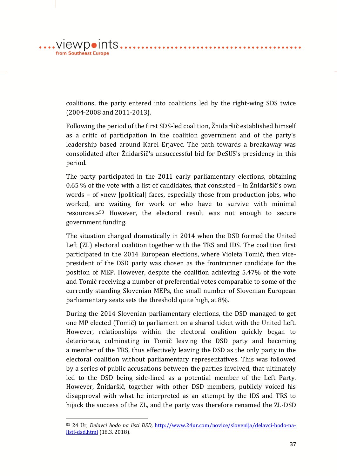coalitions, the party entered into coalitions led by the right-wing SDS twice (2004-2008 and 2011-2013).

. . . . . . . . . . . . . .

Following the period of the first SDS-led coalition, Žnidaršič established himself as a critic of participation in the coalition government and of the party's leadership based around Karel Erjavec. The path towards a breakaway was consolidated after Žnidaršič's unsuccessful bid for DeSUS's presidency in this period.

The party participated in the 2011 early parliamentary elections, obtaining 0.65 % of the vote with a list of candidates, that consisted – in Žnidaršič's own words – of «new [political] faces, especially those from production jobs, who worked, are waiting for work or who have to survive with minimal resources.» <sup>53</sup> However, the electoral result was not enough to secure government funding.

The situation changed dramatically in 2014 when the DSD formed the United Left (ZL) electoral coalition together with the TRS and IDS. The coalition first participated in the 2014 European elections, where Violeta Tomič, then vicepresident of the DSD party was chosen as the frontrunner candidate for the position of MEP. However, despite the coalition achieving 5.47% of the vote and Tomič receiving a number of preferential votes comparable to some of the currently standing Slovenian MEPs, the small number of Slovenian European parliamentary seats sets the threshold quite high, at 8%.

During the 2014 Slovenian parliamentary elections, the DSD managed to get one MP elected (Tomič) to parliament on a shared ticket with the United Left. However, relationships within the electoral coalition quickly began to deteriorate, culminating in Tomič leaving the DSD party and becoming a member of the TRS, thus effectively leaving the DSD as the only party in the electoral coalition without parliamentary representatives. This was followed by a series of public accusations between the parties involved, that ultimately led to the DSD being side-lined as a potential member of the Left Party. However, Žnidaršič, together with other DSD members, publicly voiced his disapproval with what he interpreted as an attempt by the IDS and TRS to hijack the success of the ZL, and the party was therefore renamed the ZL-DSD

1

 $\dots$ .viewpoints...

from Southeast Europe

<sup>53</sup> 24 Ur, *Delavci bodo na listi DSD*, [http://www.24ur.com/novice/slovenija/delavci-bodo-na](http://www.24ur.com/novice/slovenija/delavci-bodo-na-listi-dsd.html)[listi-dsd.html](http://www.24ur.com/novice/slovenija/delavci-bodo-na-listi-dsd.html) (18.3. 2018).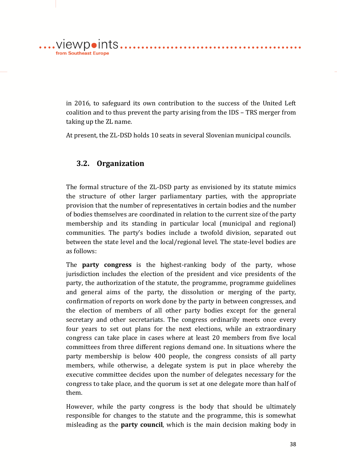in 2016, to safeguard its own contribution to the success of the United Left coalition and to thus prevent the party arising from the IDS – TRS merger from taking up the ZL name.

At present, the ZL-DSD holds 10 seats in several Slovenian municipal councils.

# **3.2. Organization**

from Southeast Europe

.... viewpoints..........................

The formal structure of the ZL-DSD party as envisioned by its statute mimics the structure of other larger parliamentary parties, with the appropriate provision that the number of representatives in certain bodies and the number of bodies themselves are coordinated in relation to the current size of the party membership and its standing in particular local (municipal and regional) communities. The party's bodies include a twofold division, separated out between the state level and the local/regional level. The state-level bodies are as follows:

The **party congress** is the highest-ranking body of the party, whose jurisdiction includes the election of the president and vice presidents of the party, the authorization of the statute, the programme, programme guidelines and general aims of the party, the dissolution or merging of the party, confirmation of reports on work done by the party in between congresses, and the election of members of all other party bodies except for the general secretary and other secretariats. The congress ordinarily meets once every four years to set out plans for the next elections, while an extraordinary congress can take place in cases where at least 20 members from five local committees from three different regions demand one. In situations where the party membership is below 400 people, the congress consists of all party members, while otherwise, a delegate system is put in place whereby the executive committee decides upon the number of delegates necessary for the congress to take place, and the quorum is set at one delegate more than half of them.

However, while the party congress is the body that should be ultimately responsible for changes to the statute and the programme, this is somewhat misleading as the **party council**, which is the main decision making body in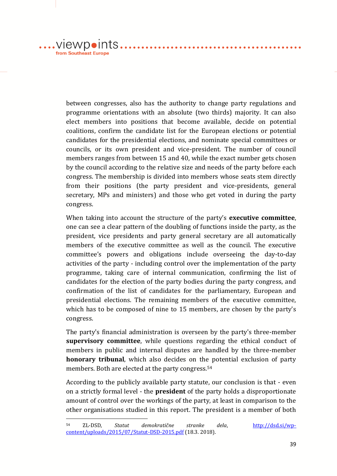.viewpoints... from Southeast Europe

1

between congresses, also has the authority to change party regulations and programme orientations with an absolute (two thirds) majority. It can also elect members into positions that become available, decide on potential coalitions, confirm the candidate list for the European elections or potential candidates for the presidential elections, and nominate special committees or councils, or its own president and vice-president. The number of council members ranges from between 15 and 40, while the exact number gets chosen by the council according to the relative size and needs of the party before each congress. The membership is divided into members whose seats stem directly from their positions (the party president and vice-presidents, general secretary, MPs and ministers) and those who get voted in during the party congress.

. . . . . . . . . . . . . . . . .

. . . . . . . . . . . .

When taking into account the structure of the party's **executive committee**, one can see a clear pattern of the doubling of functions inside the party, as the president, vice presidents and party general secretary are all automatically members of the executive committee as well as the council. The executive committee's powers and obligations include overseeing the day-to-day activities of the party - including control over the implementation of the party programme, taking care of internal communication, confirming the list of candidates for the election of the party bodies during the party congress, and confirmation of the list of candidates for the parliamentary, European and presidential elections. The remaining members of the executive committee, which has to be composed of nine to 15 members, are chosen by the party's congress.

The party's financial administration is overseen by the party's three-member **supervisory committee**, while questions regarding the ethical conduct of members in public and internal disputes are handled by the three-member **honorary tribunal**, which also decides on the potential exclusion of party members. Both are elected at the party congress.<sup>54</sup>

According to the publicly available party statute, our conclusion is that - even on a strictly formal level - the **president** of the party holds a disproportionate amount of control over the workings of the party, at least in comparison to the other organisations studied in this report. The president is a member of both

<sup>54</sup> ZL-DSD, *Statut demokratične stranke dela*, [http://dsd.si/wp](http://dsd.si/wp-content/uploads/2015/07/Statut-DSD-2015.pdf)[content/uploads/2015/07/Statut-DSD-2015.pdf](http://dsd.si/wp-content/uploads/2015/07/Statut-DSD-2015.pdf) (18.3. 2018).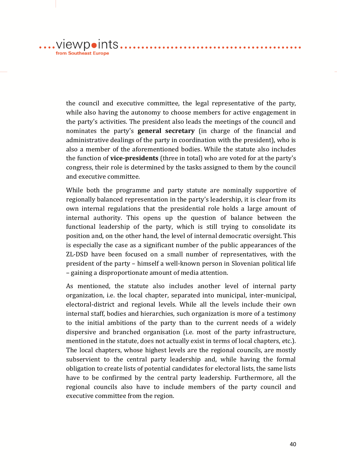$\dots$ .viewpoints $\dots$ . from Southeast Europe

> the council and executive committee, the legal representative of the party, while also having the autonomy to choose members for active engagement in the party's activities. The president also leads the meetings of the council and nominates the party's **general secretary** (in charge of the financial and administrative dealings of the party in coordination with the president), who is also a member of the aforementioned bodies. While the statute also includes the function of **vice-presidents** (three in total) who are voted for at the party's congress, their role is determined by the tasks assigned to them by the council and executive committee.

. . . . . . . . . . . . . . . . . . .

While both the programme and party statute are nominally supportive of regionally balanced representation in the party's leadership, it is clear from its own internal regulations that the presidential role holds a large amount of internal authority. This opens up the question of balance between the functional leadership of the party, which is still trying to consolidate its position and, on the other hand, the level of internal democratic oversight. This is especially the case as a significant number of the public appearances of the ZL-DSD have been focused on a small number of representatives, with the president of the party – himself a well-known person in Slovenian political life – gaining a disproportionate amount of media attention.

As mentioned, the statute also includes another level of internal party organization, i.e. the local chapter, separated into municipal, inter-municipal, electoral-district and regional levels. While all the levels include their own internal staff, bodies and hierarchies, such organization is more of a testimony to the initial ambitions of the party than to the current needs of a widely dispersive and branched organisation (i.e. most of the party infrastructure, mentioned in the statute, does not actually exist in terms of local chapters, etc.). The local chapters, whose highest levels are the regional councils, are mostly subservient to the central party leadership and, while having the formal obligation to create lists of potential candidates for electoral lists, the same lists have to be confirmed by the central party leadership. Furthermore, all the regional councils also have to include members of the party council and executive committee from the region.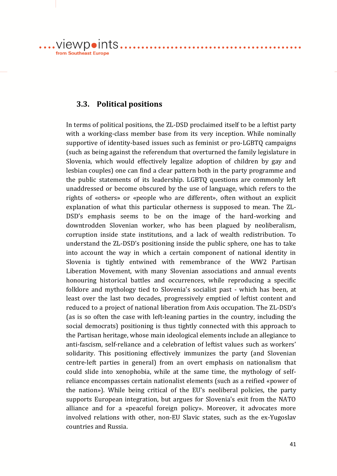.... viewpoints.......................... from Southeast Europe

### **3.3. Political positions**

In terms of political positions, the ZL-DSD proclaimed itself to be a leftist party with a working-class member base from its very inception. While nominally supportive of identity-based issues such as feminist or pro-LGBTQ campaigns (such as being against the referendum that overturned the family legislature in Slovenia, which would effectively legalize adoption of children by gay and lesbian couples) one can find a clear pattern both in the party programme and the public statements of its leadership. LGBTQ questions are commonly left unaddressed or become obscured by the use of language, which refers to the rights of «others» or «people who are different», often without an explicit explanation of what this particular otherness is supposed to mean. The ZL-DSD's emphasis seems to be on the image of the hard-working and downtrodden Slovenian worker, who has been plagued by neoliberalism, corruption inside state institutions, and a lack of wealth redistribution. To understand the ZL-DSD's positioning inside the public sphere, one has to take into account the way in which a certain component of national identity in Slovenia is tightly entwined with remembrance of the WW2 Partisan Liberation Movement, with many Slovenian associations and annual events honouring historical battles and occurrences, while reproducing a specific folklore and mythology tied to Slovenia's socialist past - which has been, at least over the last two decades, progressively emptied of leftist content and reduced to a project of national liberation from Axis occupation. The ZL-DSD's (as is so often the case with left-leaning parties in the country, including the social democrats) positioning is thus tightly connected with this approach to the Partisan heritage, whose main ideological elements include an allegiance to anti-fascism, self-reliance and a celebration of leftist values such as workers' solidarity. This positioning effectively immunizes the party (and Slovenian centre-left parties in general) from an overt emphasis on nationalism that could slide into xenophobia, while at the same time, the mythology of selfreliance encompasses certain nationalist elements (such as a reified «power of the nation»). While being critical of the EU's neoliberal policies, the party supports European integration, but argues for Slovenia's exit from the NATO alliance and for a «peaceful foreign policy». Moreover, it advocates more involved relations with other, non-EU Slavic states, such as the ex-Yugoslav countries and Russia.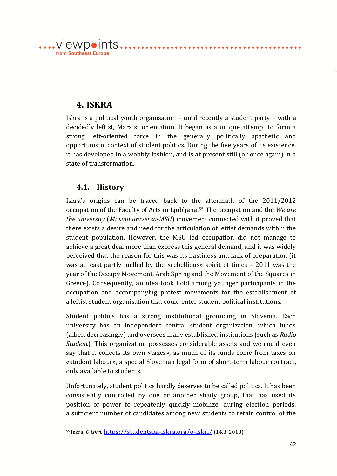

# **4. ISKRA**

Iskra is a political youth organisation – until recently a student party – with a decidedly leftist, Marxist orientation. It began as a unique attempt to form a strong left-oriented force in the generally politically apathetic and opportunistic context of student politics. During the five years of its existence, it has developed in a wobbly fashion, and is at present still (or once again) in a state of transformation.

# **4.1. History**

<u>.</u>

Iskra's origins can be traced back to the aftermath of the 2011/2012 occupation of the Faculty of Arts in Ljubljana.<sup>55</sup> The occupation and the *We are the university* (*Mi smo univerza-MSU*) movement connected with it proved that there exists a desire and need for the articulation of leftist demands within the student population. However, the MSU led occupation did not manage to achieve a great deal more than express this general demand, and it was widely perceived that the reason for this was its hastiness and lack of preparation (it was at least partly fuelled by the «rebellious» spirit of times – 2011 was the year of the Occupy Movement, Arab Spring and the Movement of the Squares in Greece). Consequently, an idea took hold among younger participants in the occupation and accompanying protest movements for the establishment of a leftist student organisation that could enter student political institutions.

Student politics has a strong institutional grounding in Slovenia. Each university has an independent central student organization, which funds (albeit decreasingly) and oversees many established institutions (such as *Radio Student*). This organization possesses considerable assets and we could even say that it collects its own «taxes», as much of its funds come from taxes on «student labour», a special Slovenian legal form of short-term labour contract, only available to students.

Unfortunately, student politics hardly deserves to be called politics. It has been consistently controlled by one or another shady group, that has used its position of power to repeatedly quickly mobilize, during election periods, a sufficient number of candidates among new students to retain control of the

<sup>55</sup> Iskra, 0 Iskri, <https://studentska-iskra.org/o-iskri/> (14.3. 2018).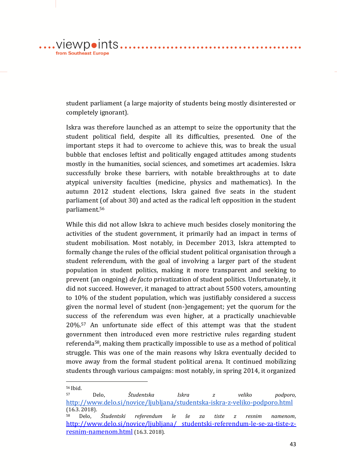student parliament (a large majority of students being mostly disinterested or completely ignorant).

Iskra was therefore launched as an attempt to seize the opportunity that the student political field, despite all its difficulties, presented. One of the important steps it had to overcome to achieve this, was to break the usual bubble that encloses leftist and politically engaged attitudes among students mostly in the humanities, social sciences, and sometimes art academies. Iskra successfully broke these barriers, with notable breakthroughs at to date atypical university faculties (medicine, physics and mathematics). In the autumn 2012 student elections, Iskra gained five seats in the student parliament (of about 30) and acted as the radical left opposition in the student parliament.<sup>56</sup>

While this did not allow Iskra to achieve much besides closely monitoring the activities of the student government, it primarily had an impact in terms of student mobilisation. Most notably, in December 2013, Iskra attempted to formally change the rules of the official student political organisation through a student referendum, with the goal of involving a larger part of the student population in student politics, making it more transparent and seeking to prevent (an ongoing) *de facto* privatization of student politics. Unfortunately, it did not succeed. However, it managed to attract about 5500 voters, amounting to 10% of the student population, which was justifiably considered a success given the normal level of student (non-)engagement; yet the quorum for the success of the referendum was even higher, at a practically unachievable 20%.<sup>57</sup> An unfortunate side effect of this attempt was that the student government then introduced even more restrictive rules regarding student referenda58, making them practically impossible to use as a method of political struggle. This was one of the main reasons why Iskra eventually decided to move away from the formal student political arena. It continued mobilizing students through various campaigns: most notably, in spring 2014, it organized

.viewpoints..

from Southeast Europe

1

. . . . . . . . . . .

<sup>56</sup> Ibid.

<sup>57</sup> Delo, *Študentska Iskra z veliko podporo*, <http://www.delo.si/novice/ljubljana/studentska-iskra-z-veliko-podporo.html> (16.3. 2018).

<sup>58</sup> Delo, *Študentski referendum le še za tiste z resnim namenom*, [http://www.delo.si/novice/ljubljana/ studentski-referendum-le-se-za-tiste-z](http://www.delo.si/novice/ljubljana/%20studentski-referendum-le-se-za-tiste-z-resnim-namenom.html)[resnim-namenom.html](http://www.delo.si/novice/ljubljana/%20studentski-referendum-le-se-za-tiste-z-resnim-namenom.html) (16.3. 2018).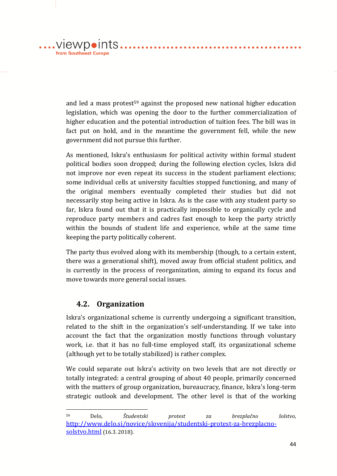and led a mass protest<sup>59</sup> against the proposed new national higher education legislation, which was opening the door to the further commercialization of higher education and the potential introduction of tuition fees. The bill was in fact put on hold, and in the meantime the government fell, while the new government did not pursue this further.

As mentioned, Iskra's enthusiasm for political activity within formal student political bodies soon dropped; during the following election cycles, Iskra did not improve nor even repeat its success in the student parliament elections; some individual cells at university faculties stopped functioning, and many of the original members eventually completed their studies but did not necessarily stop being active in Iskra. As is the case with any student party so far, Iskra found out that it is practically impossible to organically cycle and reproduce party members and cadres fast enough to keep the party strictly within the bounds of student life and experience, while at the same time keeping the party politically coherent.

The party thus evolved along with its membership (though, to a certain extent, there was a generational shift), moved away from official student politics, and is currently in the process of reorganization, aiming to expand its focus and move towards more general social issues.

#### **4.2. Organization**

.viewpoints. from Southeast Europe

<u>.</u>

Iskra's organizational scheme is currently undergoing a significant transition, related to the shift in the organization's self-understanding. If we take into account the fact that the organization mostly functions through voluntary work, i.e. that it has no full-time employed staff, its organizational scheme (although yet to be totally stabilized) is rather complex.

We could separate out Iskra's activity on two levels that are not directly or totally integrated: a central grouping of about 40 people, primarily concerned with the matters of group organization, bureaucracy, finance, Iskra's long-term strategic outlook and development. The other level is that of the working

<sup>59</sup> Delo, *Študentski protest za brezplačno šolstvo*, [http://www.delo.si/novice/slovenija/studentski-protest-za-brezplacno](http://www.delo.si/novice/slovenija/studentski-protest-za-brezplacno-solstvo.html)[solstvo.html](http://www.delo.si/novice/slovenija/studentski-protest-za-brezplacno-solstvo.html) (16.3. 2018).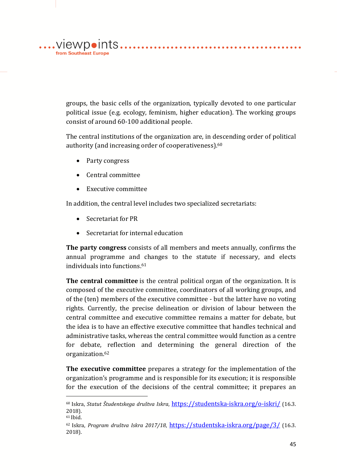groups, the basic cells of the organization, typically devoted to one particular political issue (e.g. ecology, feminism, higher education). The working groups consist of around 60-100 additional people.

The central institutions of the organization are, in descending order of political authority (and increasing order of cooperativeness).<sup>60</sup>

• Party congress

from Southeast Europe

- Central committee
- Executive committee

In addition, the central level includes two specialized secretariats:

• Secretariat for PR

1

Secretariat for internal education

**The party congress** consists of all members and meets annually, confirms the annual programme and changes to the statute if necessary, and elects individuals into functions.<sup>61</sup>

**The central committee** is the central political organ of the organization. It is composed of the executive committee, coordinators of all working groups, and of the (ten) members of the executive committee - but the latter have no voting rights. Currently, the precise delineation or division of labour between the central committee and executive committee remains a matter for debate, but the idea is to have an effective executive committee that handles technical and administrative tasks, whereas the central committee would function as a centre for debate, reflection and determining the general direction of the organization.<sup>62</sup>

**The executive committee** prepares a strategy for the implementation of the organization's programme and is responsible for its execution; it is responsible for the execution of the decisions of the central committee; it prepares an

<sup>60</sup> Iskra, *Statut Študentskega društva Iskra*, <https://studentska-iskra.org/o-iskri/> (16.3. 2018). <sup>61</sup> Ibid.

<sup>62</sup> Iskra, *Program društva Iskra 2017/18*, <https://studentska-iskra.org/page/3/> (16.3. 2018).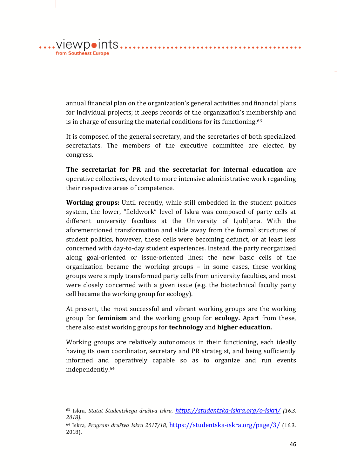annual financial plan on the organization's general activities and financial plans for individual projects; it keeps records of the organization's membership and is in charge of ensuring the material conditions for its functioning. $63$ 

. . . . . . . . . . . . . . . . . .

. . . . . . . . . . . . . .

It is composed of the general secretary, and the secretaries of both specialized secretariats. The members of the executive committee are elected by congress.

**The secretariat for PR** and **the secretariat for internal education** are operative collectives, devoted to more intensive administrative work regarding their respective areas of competence.

**Working groups:** Until recently, while still embedded in the student politics system, the lower, "fieldwork" level of Iskra was composed of party cells at different university faculties at the University of Ljubljana. With the aforementioned transformation and slide away from the formal structures of student politics, however, these cells were becoming defunct, or at least less concerned with day-to-day student experiences. Instead, the party reorganized along goal-oriented or issue-oriented lines: the new basic cells of the organization became the working groups – in some cases, these working groups were simply transformed party cells from university faculties, and most were closely concerned with a given issue (e.g. the biotechnical faculty party cell became the working group for ecology).

At present, the most successful and vibrant working groups are the working group for **feminism** and the working group for **ecology.** Apart from these, there also exist working groups for **technology** and **higher education.**

Working groups are relatively autonomous in their functioning, each ideally having its own coordinator, secretary and PR strategist, and being sufficiently informed and operatively capable so as to organize and run events independently.<sup>64</sup>

1

 $\dots$ .viewpoints...

from Southeast Europe

<sup>63</sup> Iskra*, Statut Študentskega društva Iskra, <https://studentska-iskra.org/o-iskri/> (16.3. 2018).*

<sup>64</sup> Iskra, *Program društva Iskra 2017/18*, <https://studentska-iskra.org/page/3/> (16.3. 2018).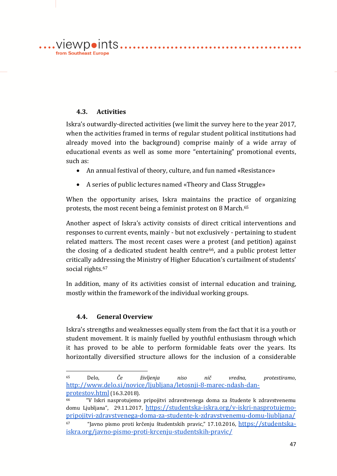# **4.3. Activities**

 $\ldots$ . VIEWDOINTS. from Southeast Europe

> Iskra's outwardly-directed activities (we limit the survey here to the year 2017, when the activities framed in terms of regular student political institutions had already moved into the background) comprise mainly of a wide array of educational events as well as some more "entertaining" promotional events, such as:

- An annual festival of theory, culture, and fun named «Resistance»
- A series of public lectures named «Theory and Class Struggle»

When the opportunity arises, Iskra maintains the practice of organizing protests, the most recent being a feminist protest on 8 March.<sup>65</sup>

Another aspect of Iskra's activity consists of direct critical interventions and responses to current events, mainly - but not exclusively - pertaining to student related matters. The most recent cases were a protest (and petition) against the closing of a dedicated student health centre $66$ , and a public protest letter critically addressing the Ministry of Higher Education's curtailment of students' social rights.<sup>67</sup>

In addition, many of its activities consist of internal education and training, mostly within the framework of the individual working groups.

#### **4.4. General Overview**

1

Iskra's strengths and weaknesses equally stem from the fact that it is a youth or student movement. It is mainly fuelled by youthful enthusiasm through which it has proved to be able to perform formidable feats over the years. Its horizontally diversified structure allows for the inclusion of a considerable

<sup>65</sup> Delo, *Če življenja niso nič vredna, protestiramo*, [http://www.delo.si/novice/ljubljana/letosnji-8-marec-ndash-dan](http://www.delo.si/novice/ljubljana/letosnji-8-marec-ndash-dan-protestov.html)[protestov.html](http://www.delo.si/novice/ljubljana/letosnji-8-marec-ndash-dan-protestov.html) (16.3.2018).

<sup>66</sup> "V Iskri nasprotujemo pripojitvi zdravstvenega doma za študente k zdravstvenemu domu Ljubljana", 29.11.2017, [https://studentska-iskra.org/v-iskri-nasprotujemo](https://studentska-iskra.org/v-iskri-nasprotujemo-pripojitvi-zdravstvenega-doma-za-studente-k-zdravstvenemu-domu-ljubljana/)[pripojitvi-zdravstvenega-doma-za-studente-k-zdravstvenemu-domu-ljubljana/](https://studentska-iskra.org/v-iskri-nasprotujemo-pripojitvi-zdravstvenega-doma-za-studente-k-zdravstvenemu-domu-ljubljana/) <sup>67</sup> "Javno pismo proti krčenju študentskih pravic," 17.10.2016, [https://studentska](https://studentska-iskra.org/javno-pismo-proti-krcenju-studentskih-pravic/)[iskra.org/javno-pismo-proti-krcenju-studentskih-pravic/](https://studentska-iskra.org/javno-pismo-proti-krcenju-studentskih-pravic/)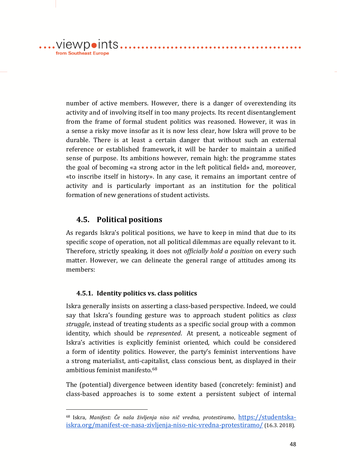$\dots$ .viewpoints... from Southeast Europe

<u>.</u>

number of active members. However, there is a danger of overextending its activity and of involving itself in too many projects. Its recent disentanglement from the frame of formal student politics was reasoned. However, it was in a sense a risky move insofar as it is now less clear, how Iskra will prove to be durable. There is at least a certain danger that without such an external reference or established framework, it will be harder to maintain a unified sense of purpose. Its ambitions however, remain high: the programme states the goal of becoming «a strong actor in the left political field» and, moreover, «to inscribe itself in history». In any case, it remains an important centre of activity and is particularly important as an institution for the political formation of new generations of student activists.

. . . . . . . . . . . . . . . . . .

# **4.5. Political positions**

As regards Iskra's political positions, we have to keep in mind that due to its specific scope of operation, not all political dilemmas are equally relevant to it. Therefore, strictly speaking, it does not *officially hold a position* on every such matter. However, we can delineate the general range of attitudes among its members:

#### **4.5.1. Identity politics vs. class politics**

Iskra generally insists on asserting a class-based perspective. Indeed, we could say that Iskra's founding gesture was to approach student politics as *class struggle*, instead of treating students as a specific social group with a common identity, which should be *represented*. At present, a noticeable segment of Iskra's activities is explicitly feminist oriented, which could be considered a form of identity politics. However, the party's feminist interventions have a strong materialist, anti-capitalist, class conscious bent, as displayed in their ambitious feminist manifesto.<sup>68</sup>

The (potential) divergence between identity based (concretely: feminist) and class-based approaches is to some extent a persistent subject of internal

<sup>68</sup> Iskra, *Manifest: Če naša življenja niso nič vredna, protestiramo*, [https://studentska](https://studentska-iskra.org/manifest-ce-nasa-zivljenja-niso-nic-vredna-protestiramo/)[iskra.org/manifest-ce-nasa-zivljenja-niso-nic-vredna-protestiramo/](https://studentska-iskra.org/manifest-ce-nasa-zivljenja-niso-nic-vredna-protestiramo/) (16.3. 2018).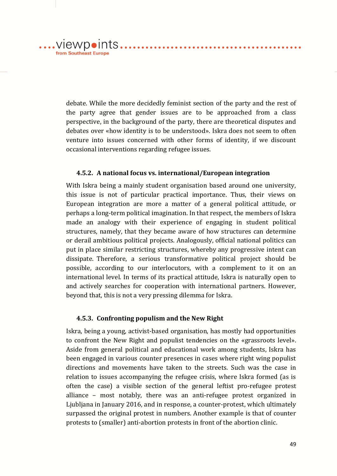debate. While the more decidedly feminist section of the party and the rest of the party agree that gender issues are to be approached from a class perspective, in the background of the party, there are theoretical disputes and debates over «how identity is to be understood». Iskra does not seem to often venture into issues concerned with other forms of identity, if we discount occasional interventions regarding refugee issues.

....VIewpoints.......

from Southeast Europe

#### **4.5.2. A national focus vs. international/European integration**

With Iskra being a mainly student organisation based around one university, this issue is not of particular practical importance. Thus, their views on European integration are more a matter of a general political attitude, or perhaps a long-term political imagination. In that respect, the members of Iskra made an analogy with their experience of engaging in student political structures, namely, that they became aware of how structures can determine or derail ambitious political projects. Analogously, official national politics can put in place similar restricting structures, whereby any progressive intent can dissipate. Therefore, a serious transformative political project should be possible, according to our interlocutors, with a complement to it on an international level. In terms of its practical attitude, Iskra is naturally open to and actively searches for cooperation with international partners. However, beyond that, this is not a very pressing dilemma for Iskra.

#### **4.5.3. Confronting populism and the New Right**

Iskra, being a young, activist-based organisation, has mostly had opportunities to confront the New Right and populist tendencies on the «grassroots level». Aside from general political and educational work among students, Iskra has been engaged in various counter presences in cases where right wing populist directions and movements have taken to the streets. Such was the case in relation to issues accompanying the refugee crisis, where Iskra formed (as is often the case) a visible section of the general leftist pro-refugee protest alliance – most notably, there was an anti-refugee protest organized in Ljubljana in January 2016, and in response, a counter-protest, which ultimately surpassed the original protest in numbers. Another example is that of counter protests to (smaller) anti-abortion protests in front of the abortion clinic.